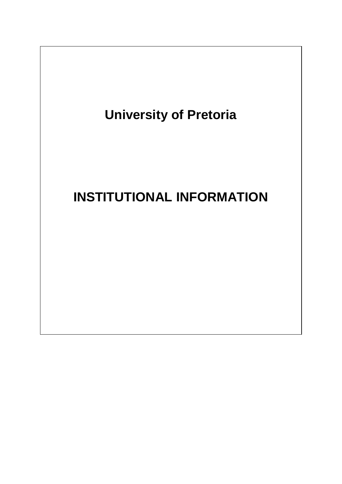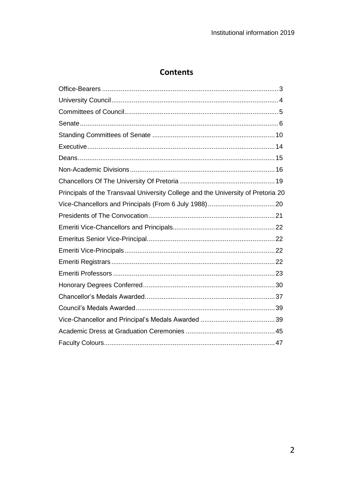# **Contents**

| Principals of the Transvaal University College and the University of Pretoria 20 |  |
|----------------------------------------------------------------------------------|--|
|                                                                                  |  |
|                                                                                  |  |
|                                                                                  |  |
|                                                                                  |  |
|                                                                                  |  |
|                                                                                  |  |
|                                                                                  |  |
|                                                                                  |  |
|                                                                                  |  |
|                                                                                  |  |
|                                                                                  |  |
|                                                                                  |  |
|                                                                                  |  |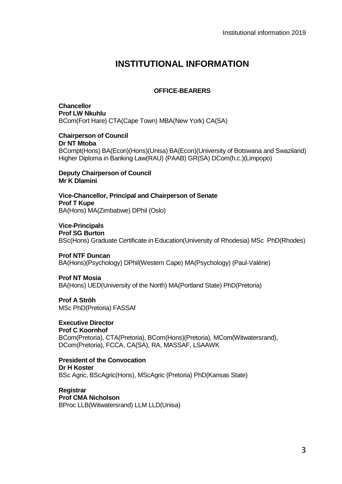# **INSTITUTIONAL INFORMATION**

## **OFFICE-BEARERS**

<span id="page-2-0"></span>**Chancellor Prof LW Nkuhlu** BCom(Fort Hare) CTA(Cape Town) MBA(New York) CA(SA)

**Chairperson of Council Dr NT Mtoba**  BCompt(Hons) BA(Econ)(Hons)(Unisa) BA(Econ)(University of Botswana and Swaziland) Higher Diploma in Banking Law(RAU) (PAAB) GR(SA) DCom(h.c.)(Limpopo)

**Deputy Chairperson of Council Mr K Dlamini**

**Vice-Chancellor, Principal and Chairperson of Senate Prof T Kupe** BA(Hons) MA(Zimbabwe) DPhil (Oslo)

**Vice-Principals Prof SG Burton** BSc(Hons) Graduate Certificate in Education(University of Rhodesia) MSc PhD(Rhodes)

**Prof NTF Duncan** BA(Hons)(Psychology) DPhil(Western Cape) MA(Psychology) (Paul-Valérie)

**Prof NT Mosia** BA(Hons) UED(University of the North) MA(Portland State) PhD(Pretoria)

**Prof A Ströh** MSc PhD(Pretoria) FASSAf

**Executive Director Prof C Koornhof** BCom(Pretoria), CTA(Pretoria), BCom(Hons)(Pretoria), MCom(Witwatersrand), DCom(Pretoria), FCCA, CA(SA), RA, MASSAF, LSAAWK

**President of the Convocation Dr H Koster** BSc Agric, BScAgric(Hons), MScAgric (Pretoria) PhD(Kansas State)

**Registrar Prof CMA Nicholson** BProc LLB(Witwatersrand) LLM LLD(Unisa)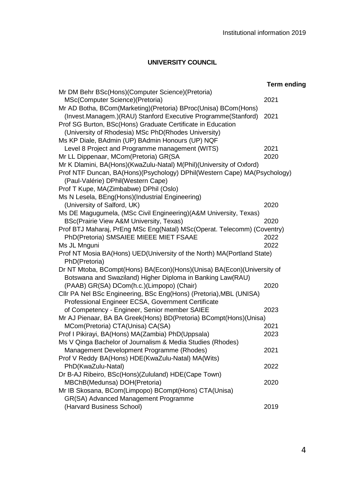# **UNIVERSITY COUNCIL**

<span id="page-3-0"></span>

|                                                                          | <b>Term ending</b> |
|--------------------------------------------------------------------------|--------------------|
| Mr DM Behr BSc(Hons)(Computer Science)(Pretoria)                         |                    |
| MSc(Computer Science)(Pretoria)                                          | 2021               |
| Mr AD Botha, BCom(Marketing)(Pretoria) BProc(Unisa) BCom(Hons)           |                    |
| (Invest.Managem.)(RAU) Stanford Executive Programme(Stanford)            | 2021               |
| Prof SG Burton, BSc(Hons) Graduate Certificate in Education              |                    |
| (University of Rhodesia) MSc PhD(Rhodes University)                      |                    |
| Ms KP Diale, BAdmin (UP) BAdmin Honours (UP) NQF                         |                    |
| Level 8 Project and Programme management (WITS)                          | 2021               |
| Mr LL Dippenaar, MCom(Pretoria) GR(SA                                    | 2020               |
| Mr K Dlamini, BA(Hons)(KwaZulu-Natal) M(Phil)(University of Oxford)      |                    |
| Prof NTF Duncan, BA(Hons)(Psychology) DPhil(Western Cape) MA(Psychology) |                    |
| (Paul-Valérie) DPhil(Western Cape)                                       |                    |
| Prof T Kupe, MA(Zimbabwe) DPhil (Oslo)                                   |                    |
| Ms N Lesela, BEng(Hons)(Industrial Engineering)                          |                    |
| (University of Salford, UK)                                              | 2020               |
| Ms DE Magugumela, (MSc Civil Engineering)(A&M University, Texas)         |                    |
| BSc(Prairie View A&M University, Texas)                                  | 2020               |
| Prof BTJ Maharaj, PrEng MSc Eng(Natal) MSc(Operat. Telecomm) (Coventry)  |                    |
| PhD(Pretoria) SMSAIEE MIEEE MIET FSAAE                                   | 2022               |
| Ms JL Mnguni                                                             | 2022               |
| Prof NT Mosia BA(Hons) UED(University of the North) MA(Portland State)   |                    |
| PhD(Pretoria)                                                            |                    |
| Dr NT Mtoba, BCompt(Hons) BA(Econ)(Hons)(Unisa) BA(Econ)(University of   |                    |
| Botswana and Swaziland) Higher Diploma in Banking Law(RAU)               |                    |
| (PAAB) GR(SA) DCom(h.c.)(Limpopo) (Chair)                                | 2020               |
| Cllr PA Nel BSc Engineering, BSc Eng(Hons) (Pretoria), MBL (UNISA)       |                    |
| Professional Engineer ECSA, Government Certificate                       |                    |
| of Competency - Engineer, Senior member SAIEE                            | 2023               |
| Mr AJ Pienaar, BA BA Greek(Hons) BD(Pretoria) BCompt(Hons)(Unisa)        |                    |
| MCom(Pretoria) CTA(Unisa) CA(SA)                                         | 2021               |
| Prof I Pikirayi, BA(Hons) MA(Zambia) PhD(Uppsala)                        | 2023               |
| Ms V Qinga Bachelor of Journalism & Media Studies (Rhodes)               |                    |
| Management Development Programme (Rhodes)                                | 2021               |
| Prof V Reddy BA(Hons) HDE(KwaZulu-Natal) MA(Wits)                        |                    |
| PhD(KwaZulu-Natal)                                                       | 2022               |
| Dr B-AJ Ribeiro, BSc(Hons)(Zululand) HDE(Cape Town)                      |                    |
| MBChB(Medunsa) DOH(Pretoria)                                             | 2020               |
| Mr IB Skosana, BCom(Limpopo) BCompt(Hons) CTA(Unisa)                     |                    |
| GR(SA) Advanced Management Programme                                     |                    |
| (Harvard Business School)                                                | 2019               |
|                                                                          |                    |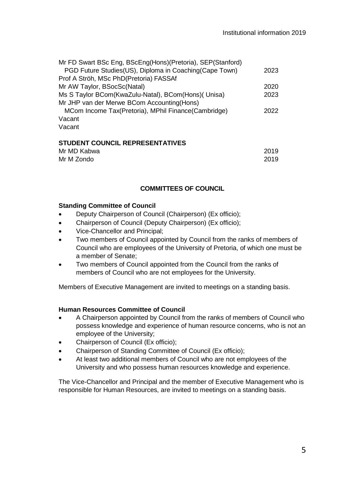| Mr FD Swart BSc Eng, BScEng(Hons)(Pretoria), SEP(Stanford) |      |
|------------------------------------------------------------|------|
| PGD Future Studies(US), Diploma in Coaching(Cape Town)     | 2023 |
| Prof A Ströh, MSc PhD(Pretoria) FASSAf                     |      |
| Mr AW Taylor, BSocSc(Natal)                                | 2020 |
| Ms S Taylor BCom(KwaZulu-Natal), BCom(Hons)( Unisa)        | 2023 |
| Mr JHP van der Merwe BCom Accounting (Hons)                |      |
| MCom Income Tax(Pretoria), MPhil Finance(Cambridge)        | 2022 |
| Vacant                                                     |      |
| Vacant                                                     |      |
|                                                            |      |

## **STUDENT COUNCIL REPRESENTATIVES**

| Mr MD Kabwa | 2019 |
|-------------|------|
| Mr M Zondo  | 2019 |

#### **COMMITTEES OF COUNCIL**

#### <span id="page-4-0"></span>**Standing Committee of Council**

- Deputy Chairperson of Council (Chairperson) (Ex officio);
- Chairperson of Council (Deputy Chairperson) (Ex officio);
- Vice-Chancellor and Principal;
- Two members of Council appointed by Council from the ranks of members of Council who are employees of the University of Pretoria, of which one must be a member of Senate;
- Two members of Council appointed from the Council from the ranks of members of Council who are not employees for the University.

Members of Executive Management are invited to meetings on a standing basis.

## **Human Resources Committee of Council**

- A Chairperson appointed by Council from the ranks of members of Council who possess knowledge and experience of human resource concerns, who is not an employee of the University;
- Chairperson of Council (Ex officio);
- Chairperson of Standing Committee of Council (Ex officio);
- At least two additional members of Council who are not employees of the University and who possess human resources knowledge and experience.

The Vice-Chancellor and Principal and the member of Executive Management who is responsible for Human Resources, are invited to meetings on a standing basis.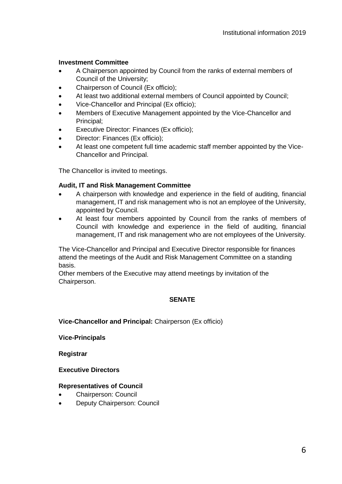#### **Investment Committee**

- A Chairperson appointed by Council from the ranks of external members of Council of the University;
- Chairperson of Council (Ex officio):
- At least two additional external members of Council appointed by Council;
- Vice-Chancellor and Principal (Ex officio);
- Members of Executive Management appointed by the Vice-Chancellor and Principal;
- Executive Director: Finances (Ex officio);
- Director: Finances (Ex officio);
- At least one competent full time academic staff member appointed by the Vice-Chancellor and Principal.

The Chancellor is invited to meetings.

#### **Audit, IT and Risk Management Committee**

- A chairperson with knowledge and experience in the field of auditing, financial management, IT and risk management who is not an employee of the University, appointed by Council.
- At least four members appointed by Council from the ranks of members of Council with knowledge and experience in the field of auditing, financial management, IT and risk management who are not employees of the University.

The Vice-Chancellor and Principal and Executive Director responsible for finances attend the meetings of the Audit and Risk Management Committee on a standing basis.

<span id="page-5-0"></span>Other members of the Executive may attend meetings by invitation of the Chairperson.

## **SENATE**

**Vice-Chancellor and Principal:** Chairperson (Ex officio)

**Vice-Principals**

**Registrar** 

#### **Executive Directors**

#### **Representatives of Council**

- Chairperson: Council
- Deputy Chairperson: Council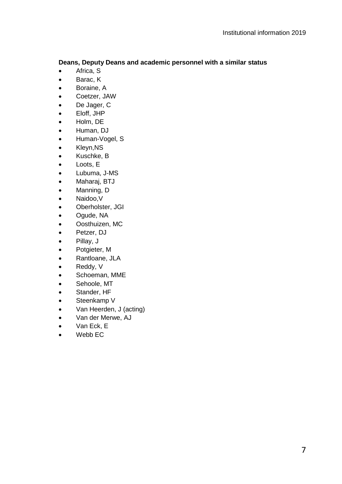## **Deans, Deputy Deans and academic personnel with a similar status**

- Africa, S
- Barac, K
- Boraine, A
- Coetzer, JAW
- De Jager, C
- Eloff, JHP
- Holm, DE
- Human, DJ
- Human-Vogel, S
- Kleyn,NS
- Kuschke, B
- Loots, E
- Lubuma, J-MS
- Maharaj, BTJ
- Manning, D
- Naidoo,V
- Oberholster, JGI
- Ogude, NA
- Oosthuizen, MC
- Petzer, DJ
- Pillay, J
- Potgieter, M
- Rantloane, JLA
- Reddy, V
- Schoeman, MME
- Sehoole, MT
- Stander, HF
- Steenkamp V
- Van Heerden, J (acting)
- Van der Merwe, AJ
- Van Eck, E
- Webb EC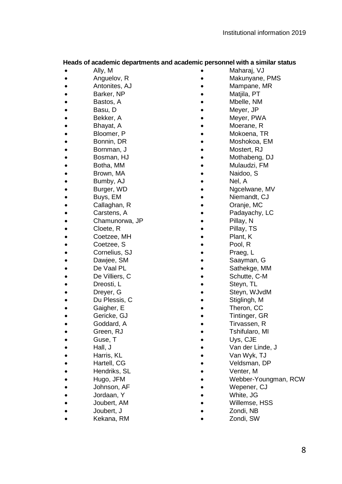#### **Heads of academic departments and academic personnel with a similar status**

- Ally, M
- Anguelov, R
- Antonites, AJ
- Barker, NP
- Bastos, A
- Basu, D
- Bekker, A
- Bhayat, A
- Bloomer, P
- Bonnin, DR
- Bornman, J
- Bosman, HJ
- Botha, MM
- Brown, MA
- Bumby, AJ
- Burger, WD
- Buys, EM
- 
- Callaghan, R
- Carstens, A
- Chamunorwa, JP
- Cloete, R
- Coetzee, MH
- Coetzee, S
- Cornelius, SJ
- Dawjee, SM
- De Vaal PL
- De Villiers, C
- Dreosti, L
- Dreyer, G
- Du Plessis, C
- Gaigher, E
- Gericke, GJ
- Goddard, A
- Green, RJ
- Guse, T
- Hall, J
- Harris, KL
- Hartell, CG
- Hendriks, SL
- Hugo, JFM
- Johnson, AF
- 
- Jordaan, Y
- Joubert, AM
- Joubert, J
- Kekana, RM
- Maharaj, VJ
- Makunyane, PMS
- Mampane, MR
- Matiila, PT
- Mbelle, NM
- Meyer, JP
- Meyer, PWA
- Moerane, R
- Mokoena, TR
- Moshokoa, EM
- Mostert, RJ
	-
- Mothabeng, DJ
- Mulaudzi, FM
- Naidoo, S
- Nel, A
- Ngcelwane, MV
- Niemandt, CJ<br>• Oranie. MC
	- Oranje, MC
- Padayachy, LC
- Pillav. N
- Pillay, TS
- Plant, K<br>• Pool R
	- Pool, R
- Praeg, L
- Saayman, G
	-
- Sathekge, MM<br>• Schutte. C-M Schutte, C-M
- Steyn, TL
- Steyn, WJvdM
- Stiglingh, M
- Theron, CC
- Tintinger, GR
- Tirvassen, R
- Tshifularo, MI
- Uys, CJE
	-
- Van der Linde, J
- Van Wyk, TJ
- Veldsman, DP
- Venter, M
- Webber-Youngman, RCW
- Wepener, CJ
- White, JG
- Willemse, HSS
- Zondi, NB
	- Zondi, SW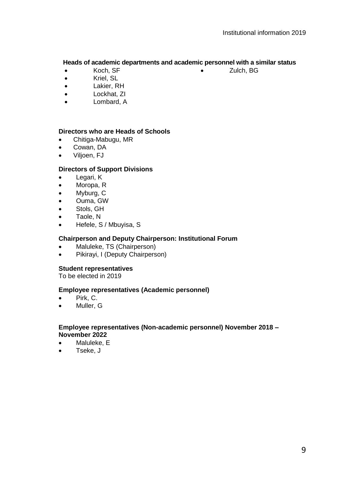• Zulch, BG

#### **Heads of academic departments and academic personnel with a similar status**

- Koch, SF
- Kriel, SL
- Lakier, RH
- Lockhat, ZI
- Lombard, A

#### **Directors who are Heads of Schools**

- Chitiga-Mabugu, MR
- Cowan, DA
- Viljoen, FJ

## **Directors of Support Divisions**

- Legari, K
- Moropa, R
- Myburg, C
- Ouma, GW
- Stols, GH
- Taole, N
- Hefele, S / Mbuyisa, S

#### **Chairperson and Deputy Chairperson: Institutional Forum**

- Maluleke, TS (Chairperson)
- Pikirayi, I (Deputy Chairperson)

#### **Student representatives**

To be elected in 2019

#### **Employee representatives (Academic personnel)**

- Pirk, C.
- Muller, G

#### **Employee representatives (Non-academic personnel) November 2018 – November 2022**

- Maluleke, E
- Tseke, J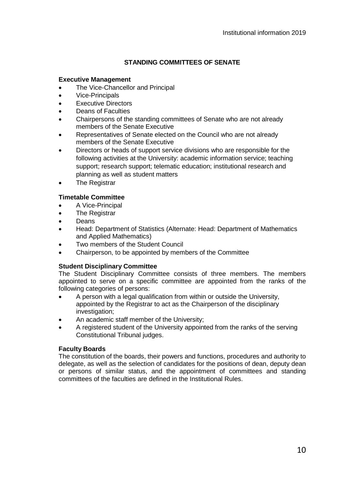## **STANDING COMMITTEES OF SENATE**

#### <span id="page-9-0"></span>**Executive Management**

- The Vice-Chancellor and Principal
- Vice-Principals
- Executive Directors
- Deans of Faculties
- Chairpersons of the standing committees of Senate who are not already members of the Senate Executive
- Representatives of Senate elected on the Council who are not already members of the Senate Executive
- Directors or heads of support service divisions who are responsible for the following activities at the University: academic information service; teaching support; research support; telematic education; institutional research and planning as well as student matters
- The Registrar

## **Timetable Committee**

- A Vice-Principal
- The Registrar
- Deans
- Head: Department of Statistics (Alternate: Head: Department of Mathematics and Applied Mathematics)
- Two members of the Student Council
- Chairperson, to be appointed by members of the Committee

## **Student Disciplinary Committee**

The Student Disciplinary Committee consists of three members. The members appointed to serve on a specific committee are appointed from the ranks of the following categories of persons:

- A person with a legal qualification from within or outside the University, appointed by the Registrar to act as the Chairperson of the disciplinary investigation;
- An academic staff member of the University;
- A registered student of the University appointed from the ranks of the serving Constitutional Tribunal judges.

## **Faculty Boards**

The constitution of the boards, their powers and functions, procedures and authority to delegate, as well as the selection of candidates for the positions of dean, deputy dean or persons of similar status, and the appointment of committees and standing committees of the faculties are defined in the Institutional Rules.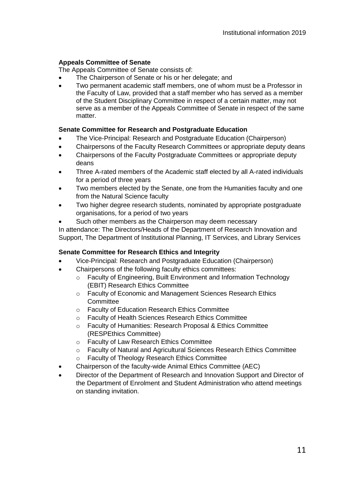## **Appeals Committee of Senate**

The Appeals Committee of Senate consists of:

- The Chairperson of Senate or his or her delegate; and
- Two permanent academic staff members, one of whom must be a Professor in the Faculty of Law, provided that a staff member who has served as a member of the Student Disciplinary Committee in respect of a certain matter, may not serve as a member of the Appeals Committee of Senate in respect of the same matter.

## **Senate Committee for Research and Postgraduate Education**

- The Vice-Principal: Research and Postgraduate Education (Chairperson)
- Chairpersons of the Faculty Research Committees or appropriate deputy deans
- Chairpersons of the Faculty Postgraduate Committees or appropriate deputy deans
- Three A-rated members of the Academic staff elected by all A-rated individuals for a period of three years
- Two members elected by the Senate, one from the Humanities faculty and one from the Natural Science faculty
- Two higher degree research students, nominated by appropriate postgraduate organisations, for a period of two years
- Such other members as the Chairperson may deem necessary

In attendance: The Directors/Heads of the Department of Research Innovation and Support, The Department of Institutional Planning, IT Services, and Library Services

## **Senate Committee for Research Ethics and Integrity**

- Vice-Principal: Research and Postgraduate Education (Chairperson)
- Chairpersons of the following faculty ethics committees:
	- o Faculty of Engineering, Built Environment and Information Technology (EBIT) Research Ethics Committee
	- o Faculty of Economic and Management Sciences Research Ethics Committee
	- o Faculty of Education Research Ethics Committee
	- o Faculty of Health Sciences Research Ethics Committee
	- o Faculty of Humanities: Research Proposal & Ethics Committee (RESPEthics Committee)
	- o Faculty of Law Research Ethics Committee
	- o Faculty of Natural and Agricultural Sciences Research Ethics Committee
	- o Faculty of Theology Research Ethics Committee
- Chairperson of the faculty-wide Animal Ethics Committee (AEC)
- Director of the Department of Research and Innovation Support and Director of the Department of Enrolment and Student Administration who attend meetings on standing invitation.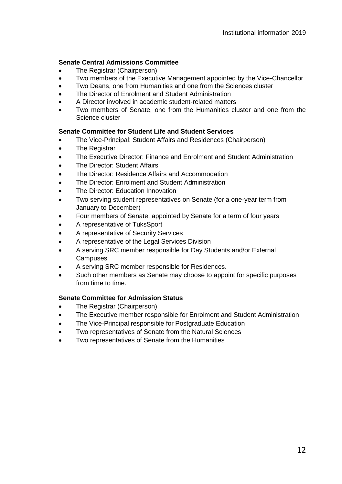## **Senate Central Admissions Committee**

- The Registrar (Chairperson)
- Two members of the Executive Management appointed by the Vice-Chancellor
- Two Deans, one from Humanities and one from the Sciences cluster
- The Director of Enrolment and Student Administration
- A Director involved in academic student-related matters
- Two members of Senate, one from the Humanities cluster and one from the Science cluster

## **Senate Committee for Student Life and Student Services**

- The Vice-Principal: Student Affairs and Residences (Chairperson)
- The Registrar
- The Executive Director: Finance and Enrolment and Student Administration
- The Director: Student Affairs
- The Director: Residence Affairs and Accommodation
- The Director: Enrolment and Student Administration
- The Director: Education Innovation
- Two serving student representatives on Senate (for a one-year term from January to December)
- Four members of Senate, appointed by Senate for a term of four years
- A representative of TuksSport
- A representative of Security Services
- A representative of the Legal Services Division
- A serving SRC member responsible for Day Students and/or External **Campuses**
- A serving SRC member responsible for Residences.
- Such other members as Senate may choose to appoint for specific purposes from time to time.

## **Senate Committee for Admission Status**

- The Registrar (Chairperson)
- The Executive member responsible for Enrolment and Student Administration
- The Vice-Principal responsible for Postgraduate Education
- Two representatives of Senate from the Natural Sciences
- Two representatives of Senate from the Humanities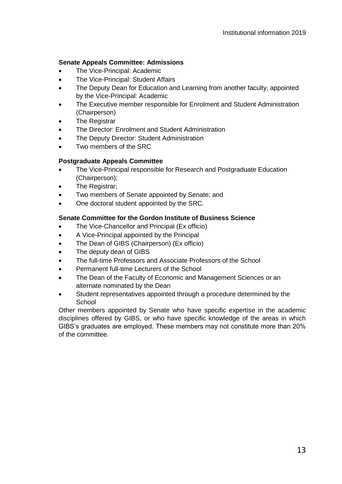#### **Senate Appeals Committee: Admissions**

- The Vice-Principal: Academic
- The Vice-Principal: Student Affairs
- The Deputy Dean for Education and Learning from another faculty, appointed by the Vice-Principal: Academic
- The Executive member responsible for Enrolment and Student Administration (Chairperson)
- **The Registrar**
- The Director: Enrolment and Student Administration
- The Deputy Director: Student Administration
- Two members of the SRC

#### **Postgraduate Appeals Committee**

- The Vice-Principal responsible for Research and Postgraduate Education (Chairperson);
- The Registrar:
- Two members of Senate appointed by Senate; and
- One doctoral student appointed by the SRC.

#### **Senate Committee for the Gordon Institute of Business Science**

- The Vice-Chancellor and Principal (Ex officio)
- A Vice-Principal appointed by the Principal
- The Dean of GIBS (Chairperson) (Ex officio)
- The deputy dean of GIBS
- The full-time Professors and Associate Professors of the School
- Permanent full-time Lecturers of the School
- The Dean of the Faculty of Economic and Management Sciences or an alternate nominated by the Dean
- Student representatives appointed through a procedure determined by the School

Other members appointed by Senate who have specific expertise in the academic disciplines offered by GIBS, or who have specific knowledge of the areas in which GIBS's graduates are employed. These members may not constitute more than 20% of the committee.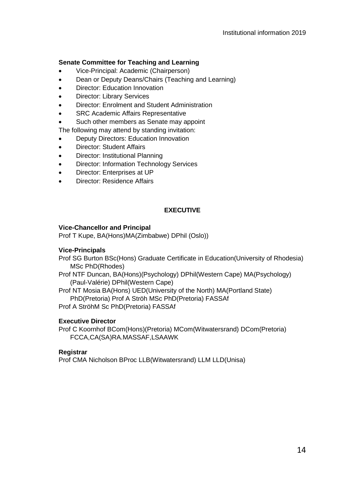## **Senate Committee for Teaching and Learning**

- Vice-Principal: Academic (Chairperson)
- Dean or Deputy Deans/Chairs (Teaching and Learning)
- Director: Education Innovation
- Director: Library Services
- Director: Enrolment and Student Administration
- SRC Academic Affairs Representative
- Such other members as Senate may appoint

The following may attend by standing invitation:

- Deputy Directors: Education Innovation
- Director: Student Affairs
- Director: Institutional Planning
- Director: Information Technology Services
- Director: Enterprises at UP
- Director: Residence Affairs

# **EXECUTIVE**

## <span id="page-13-0"></span>**Vice-Chancellor and Principal**

Prof T Kupe, BA(Hons)MA(Zimbabwe) DPhil (Oslo))

## **Vice-Principals**

Prof SG Burton BSc(Hons) Graduate Certificate in Education(University of Rhodesia) MSc PhD(Rhodes)

Prof NTF Duncan, BA(Hons)(Psychology) DPhil(Western Cape) MA(Psychology) (Paul-Valérie) DPhil(Western Cape)

Prof NT Mosia BA(Hons) UED(University of the North) MA(Portland State) PhD(Pretoria) Prof A Ströh MSc PhD(Pretoria) FASSAf

Prof A StröhM Sc PhD(Pretoria) FASSAf

## **Executive Director**

Prof C Koornhof BCom(Hons)(Pretoria) MCom(Witwatersrand) DCom(Pretoria) FCCA,CA(SA)RA.MASSAF,LSAAWK

## **Registrar**

<span id="page-13-1"></span>Prof CMA Nicholson BProc LLB(Witwatersrand) LLM LLD(Unisa)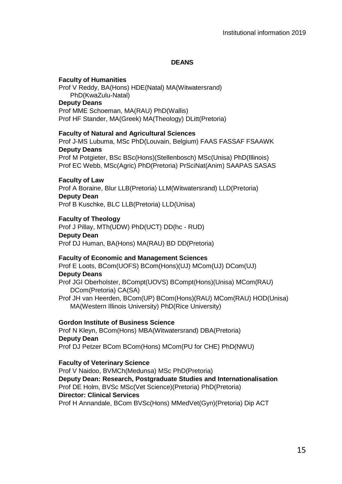#### **DEANS**

#### **Faculty of Humanities**

Prof V Reddy, BA(Hons) HDE(Natal) MA(Witwatersrand) PhD(KwaZulu-Natal) **Deputy Deans** Prof MME Schoeman, MA(RAU) PhD(Wallis)

Prof HF Stander, MA(Greek) MA(Theology) DLitt(Pretoria)

#### **Faculty of Natural and Agricultural Sciences**

Prof J-MS Lubuma, MSc PhD(Louvain, Belgium) FAAS FASSAF FSAAWK **Deputy Deans**

Prof M Potgieter, BSc BSc(Hons)(Stellenbosch) MSc(Unisa) PhD(Illinois) Prof EC Webb, MSc(Agric) PhD(Pretoria) PrSciNat(Anim) SAAPAS SASAS

#### **Faculty of Law**

Prof A Boraine, Blur LLB(Pretoria) LLM(Witwatersrand) LLD(Pretoria) **Deputy Dean** Prof B Kuschke, BLC LLB(Pretoria) LLD(Unisa)

#### **Faculty of Theology**

Prof J Pillay, MTh(UDW) PhD(UCT) DD(hc - RUD) **Deputy Dean** Prof DJ Human, BA(Hons) MA(RAU) BD DD(Pretoria)

#### **Faculty of Economic and Management Sciences**

Prof E Loots, BCom(UOFS) BCom(Hons)(UJ) MCom(UJ) DCom(UJ) **Deputy Deans**

Prof JGI Oberholster, BCompt(UOVS) BCompt(Hons)(Unisa) MCom(RAU) DCom(Pretoria) CA(SA)

Prof JH van Heerden, BCom(UP) BCom(Hons)(RAU) MCom(RAU) HOD(Unisa) MA(Western Illinois University) PhD(Rice University)

## **Gordon Institute of Business Science**

Prof N Kleyn, BCom(Hons) MBA(Witwatersrand) DBA(Pretoria) **Deputy Dean** Prof DJ Petzer BCom BCom(Hons) MCom(PU for CHE) PhD(NWU)

#### **Faculty of Veterinary Science**

Prof V Naidoo, BVMCh(Medunsa) MSc PhD(Pretoria) **Deputy Dean: Research, Postgraduate Studies and Internationalisation** Prof DE Holm, BVSc MSc(Vet Science)(Pretoria) PhD(Pretoria) **Director: Clinical Services** Prof H Annandale, BCom BVSc(Hons) MMedVet(Gyn)(Pretoria) Dip ACT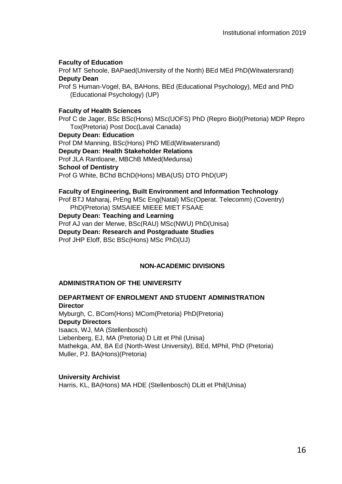## **Faculty of Education**

Prof MT Sehoole, BAPaed(University of the North) BEd MEd PhD(Witwatersrand) **Deputy Dean**

Prof S Human-Vogel, BA, BAHons, BEd (Educational Psychology), MEd and PhD (Educational Psychology) (UP)

#### **Faculty of Health Sciences**

Prof C de Jager, BSc BSc(Hons) MSc(UOFS) PhD (Repro Biol)(Pretoria) MDP Repro Tox(Pretoria) Post Doc(Laval Canada)

**Deputy Dean: Education**

Prof DM Manning, BSc(Hons) PhD MEd(Witwatersrand)

**Deputy Dean: Health Stakeholder Relations**

Prof JLA Rantloane, MBChB MMed(Medunsa)

**School of Dentistry**

Prof G White, BChd BChD(Hons) MBA(US) DTO PhD(UP)

**Faculty of Engineering, Built Environment and Information Technology**

Prof BTJ Maharaj, PrEng MSc Eng(Natal) MSc(Operat. Telecomm) (Coventry) PhD(Pretoria) SMSAIEE MIEEE MIET FSAAE

**Deputy Dean: Teaching and Learning**

Prof AJ van der Merwe, BSc(RAU) MSc(NWU) PhD(Unisa)

**Deputy Dean: Research and Postgraduate Studies**

<span id="page-15-0"></span>Prof JHP Eloff, BSc BSc(Hons) MSc PhD(UJ)

## **NON-ACADEMIC DIVISIONS**

## **ADMINISTRATION OF THE UNIVERSITY**

## **DEPARTMENT OF ENROLMENT AND STUDENT ADMINISTRATION Director**

Myburgh, C, BCom(Hons) MCom(Pretoria) PhD(Pretoria) **Deputy Directors** Isaacs, WJ, MA (Stellenbosch) Liebenberg, EJ, MA (Pretoria) D Litt et Phil (Unisa) Mathekga, AM, BA Ed (North-West University), BEd, MPhil, PhD (Pretoria) Muller, PJ. BA(Hons)(Pretoria)

**University Archivist**

Harris, KL, BA(Hons) MA HDE (Stellenbosch) DLitt et Phil(Unisa)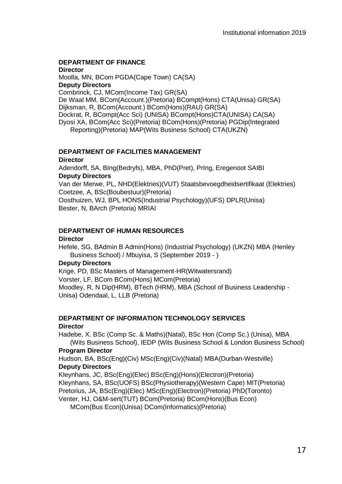# **DEPARTMENT OF FINANCE**

#### **Director**

Moolla, MN, BCom PGDA(Cape Town) CA(SA) **Deputy Directors** Combrinck, CJ, MCom(Income Tax) GR(SA) De Waal MM, BCom(Account.)(Pretoria) BCompt(Hons) CTA(Unisa) GR(SA) Dijksman, R, BCom(Account.) BCom(Hons)(RAU) GR(SA) Dockrat, R, BCompt(Acc Sci) (UNISA) BCompt(Hons)CTA(UNISA) CA(SA) Dyosi XA, BCom(Acc Sci)(Pretoria) BCom(Hons)(Pretoria) PGDip(Integrated Reporting)(Pretoria) MAP(Wits Business School) CTA(UKZN)

# **DEPARTMENT OF FACILITIES MANAGEMENT**

#### **Director**

Adendorff, SA, BIng(Bedryfs), MBA, PhD(Pret), PrIng, Eregenoot SAIBI **Deputy Directors**

Van der Merwe, PL, NHD(Elektries)(VUT) Staatsbevoegdheidsertifikaat (Elektries) Coetzee, A, BSc(Boubestuur)(Pretoria)

Oosthuizen, WJ, BPL HONS(Industrial Psychology)(UFS) DPLR(Unisa) Bester, N, BArch (Pretoria) MRIAI

## **DEPARTMENT OF HUMAN RESOURCES**

#### **Director**

Hefele, SG, BAdmin B Admin(Hons) (Industrial Psychology) (UKZN) MBA (Henley Business School) / Mbuyisa, S (September 2019 - )

## **Deputy Directors**

Krige, PD, BSc Masters of Management-HR(Witwatersrand) Vorster, LF, BCom BCom(Hons) MCom(Pretoria) Moodley, R, N Dip(HRM), BTech (HRM), MBA (School of Business Leadership - Unisa) Odendaal, L, LLB (Pretoria)

#### **DEPARTMENT OF INFORMATION TECHNOLOGY SERVICES Director**

Hadebe, X. BSc (Comp Sc. & Maths)(Natal), BSc Hon (Comp Sc.) (Unisa), MBA (Wits Business School), IEDP (Wits Business School & London Business School)

## **Program Director**

Hudson, BA, BSc(Eng)(Civ) MSc(Eng)(Civ)(Natal) MBA(Durban-Westville) **Deputy Directors**

Kleynhans, JC, BSc(Eng)(Elec) BSc(Eng)(Hons)(Electron)(Pretoria) Kleynhans, SA, BSc(UOFS) BSc(Physiotherapy)(Western Cape) MIT(Pretoria) Pretorius, JA, BSc(Eng)(Elec) MSc(Eng)(Electron)(Pretoria) PhD(Toronto)

Venter, HJ, O&M-sert(TUT) BCom(Pretoria) BCom(Hons)(Bus Econ)

MCom(Bus Econ)(Unisa) DCom(Informatics)(Pretoria)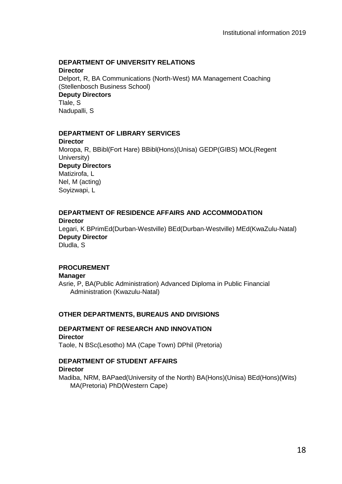## **DEPARTMENT OF UNIVERSITY RELATIONS**

**Director** Delport, R, BA Communications (North-West) MA Management Coaching (Stellenbosch Business School) **Deputy Directors** Tlale, S Nadupalli, S

## **DEPARTMENT OF LIBRARY SERVICES**

**Director** Moropa, R, BBibl(Fort Hare) BBibl(Hons)(Unisa) GEDP(GIBS) MOL(Regent University) **Deputy Directors** Matizirofa, L Nel, M (acting) Soyizwapi, L

# **DEPARTMENT OF RESIDENCE AFFAIRS AND ACCOMMODATION**

**Director** Legari, K BPrimEd(Durban-Westville) BEd(Durban-Westville) MEd(KwaZulu-Natal) **Deputy Director** Dludla, S

## **PROCUREMENT**

**Manager** Asrie, P, BA(Public Administration) Advanced Diploma in Public Financial Administration (Kwazulu-Natal)

## **OTHER DEPARTMENTS, BUREAUS AND DIVISIONS**

# **DEPARTMENT OF RESEARCH AND INNOVATION Director**

Taole, N BSc(Lesotho) MA (Cape Town) DPhil (Pretoria)

## **DEPARTMENT OF STUDENT AFFAIRS**

## **Director**

Madiba, NRM, BAPaed(University of the North) BA(Hons)(Unisa) BEd(Hons)(Wits) MA(Pretoria) PhD(Western Cape)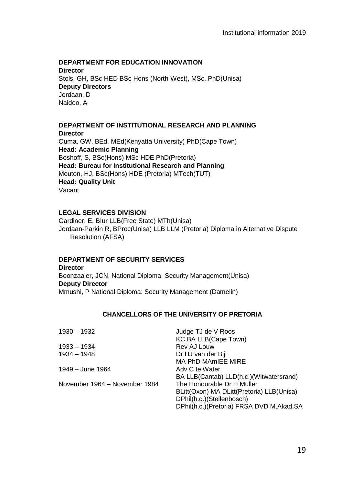## **DEPARTMENT FOR EDUCATION INNOVATION**

**Director** Stols, GH, BSc HED BSc Hons (North-West), MSc, PhD(Unisa) **Deputy Directors** Jordaan, D Naidoo, A

#### **DEPARTMENT OF INSTITUTIONAL RESEARCH AND PLANNING Director**

Ouma, GW, BEd, MEd(Kenyatta University) PhD(Cape Town) **Head: Academic Planning** Boshoff, S, BSc(Hons) MSc HDE PhD(Pretoria) **Head: Bureau for Institutional Research and Planning**  Mouton, HJ, BSc(Hons) HDE (Pretoria) MTech(TUT) **Head: Quality Unit** Vacant

## **LEGAL SERVICES DIVISION**

Gardiner, E, BIur LLB(Free State) MTh(Unisa) Jordaan-Parkin R, BProc(Unisa) LLB LLM (Pretoria) Diploma in Alternative Dispute Resolution (AFSA)

## **DEPARTMENT OF SECURITY SERVICES**

**Director** Boonzaaier, JCN, National Diploma: Security Management(Unisa) **Deputy Director** Mmushi, P National Diploma: Security Management (Damelin)

## **CHANCELLORS OF THE UNIVERSITY OF PRETORIA**

<span id="page-18-0"></span>

| 1930 - 1932                   | Judge TJ de V Roos                        |
|-------------------------------|-------------------------------------------|
|                               | KC BA LLB(Cape Town)                      |
| 1933 – 1934                   | Rev AJ Louw                               |
| 1934 - 1948                   | Dr HJ van der Bijl                        |
|                               | MA PhD MAmIEE MIRE                        |
| 1949 – June 1964              | Adv C te Water                            |
|                               | BA LLB(Cantab) LLD(h.c.)(Witwatersrand)   |
| November 1964 – November 1984 | The Honourable Dr H Muller                |
|                               | BLitt(Oxon) MA DLitt(Pretoria) LLB(Unisa) |
|                               | DPhil(h.c.)(Stellenbosch)                 |
|                               | DPhil(h.c.)(Pretoria) FRSA DVD M.Akad.SA  |
|                               |                                           |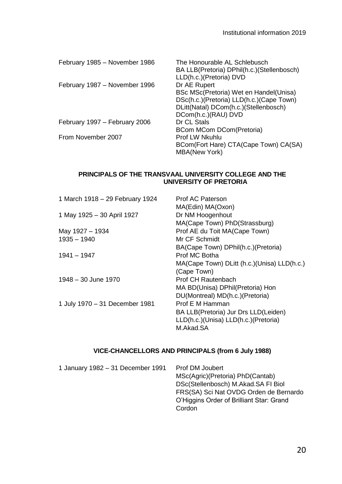| The Honourable AL Schlebusch<br>BA LLB(Pretoria) DPhil(h.c.)(Stellenbosch)<br>LLD(h.c.)(Pretoria) DVD |
|-------------------------------------------------------------------------------------------------------|
| Dr AE Rupert                                                                                          |
| BSc MSc(Pretoria) Wet en Handel(Unisa)                                                                |
| DSc(h.c.)(Pretoria) LLD(h.c.)(Cape Town)                                                              |
| DLitt(Natal) DCom(h.c.)(Stellenbosch)                                                                 |
| DCom(h.c.)(RAU) DVD                                                                                   |
| Dr CL Stals                                                                                           |
| BCom MCom DCom (Pretoria)                                                                             |
| Prof I W Nkuhlu                                                                                       |
| BCom(Fort Hare) CTA(Cape Town) CA(SA)                                                                 |
| <b>MBA(New York)</b>                                                                                  |
|                                                                                                       |

## <span id="page-19-0"></span>**PRINCIPALS OF THE TRANSVAAL UNIVERSITY COLLEGE AND THE UNIVERSITY OF PRETORIA**

| 1 March 1918 - 29 February 1924 | Prof AC Paterson                             |
|---------------------------------|----------------------------------------------|
|                                 | MA(Edin) MA(Oxon)                            |
| 1 May 1925 - 30 April 1927      | Dr NM Hoogenhout                             |
|                                 | MA(Cape Town) PhD(Strassburg)                |
| May 1927 - 1934                 | Prof AE du Toit MA(Cape Town)                |
| $1935 - 1940$                   | Mr CF Schmidt                                |
|                                 | BA(Cape Town) DPhil(h.c.)(Pretoria)          |
| 1941 - 1947                     | Prof MC Botha                                |
|                                 | MA(Cape Town) DLitt (h.c.) (Unisa) LLD(h.c.) |
|                                 | (Cape Town)                                  |
| 1948 - 30 June 1970             | Prof CH Rautenbach                           |
|                                 | MA BD(Unisa) DPhil(Pretoria) Hon             |
|                                 | DU(Montreal) MD(h.c.)(Pretoria)              |
| 1 July 1970 - 31 December 1981  | Prof E M Hamman                              |
|                                 | BA LLB(Pretoria) Jur Drs LLD(Leiden)         |
|                                 | LLD(h.c.)(Unisa) LLD(h.c.)(Pretoria)         |
|                                 | M.Akad.SA                                    |

## **VICE-CHANCELLORS AND PRINCIPALS (from 6 July 1988)**

<span id="page-19-1"></span>

| 1 January 1982 - 31 December 1991 | Prof DM Joubert<br>MSc(Agric)(Pretoria) PhD(Cantab)<br>DSc(Stellenbosch) M.Akad.SA FI Biol<br>FRS(SA) Sci Nat OVDG Orden de Bernardo<br>O'Higgins Order of Brilliant Star: Grand<br>Cordon |
|-----------------------------------|--------------------------------------------------------------------------------------------------------------------------------------------------------------------------------------------|
|                                   |                                                                                                                                                                                            |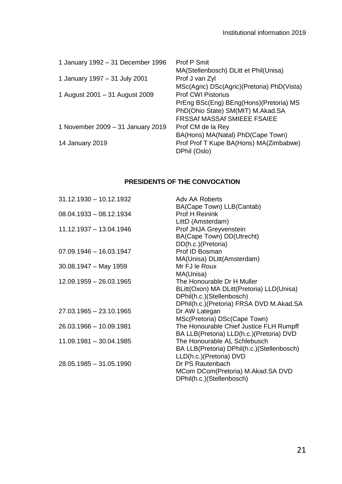| 1 January 1992 - 31 December 1996 | Prof P Smit<br>MA(Stellenbosch) DLitt et Phil(Unisa)                                                                                    |
|-----------------------------------|-----------------------------------------------------------------------------------------------------------------------------------------|
| 1 January 1997 - 31 July 2001     | Prof J van Zyl<br>MSc(Agric) DSc(Agric)(Pretoria) PhD(Vista)                                                                            |
| 1 August 2001 - 31 August 2009    | Prof CWI Pistorius<br>PrEng BSc(Eng) BEng(Hons)(Pretoria) MS<br>PhD(Ohio State) SM(MIT) M.Akad.SA<br><b>FRSSAf MASSAf SMIEEE FSAIEE</b> |
| 1 November 2009 - 31 January 2019 | Prof CM de la Rey<br>BA(Hons) MA(Natal) PhD(Cape Town)                                                                                  |
| 14 January 2019                   | Prof Prof T Kupe BA(Hons) MA(Zimbabwe)<br>DPhil (Oslo)                                                                                  |

## **PRESIDENTS OF THE CONVOCATION**

<span id="page-20-0"></span>

| $31.12.1930 - 10.12.1932$ | Adv AA Roberts                             |
|---------------------------|--------------------------------------------|
|                           | BA(Cape Town) LLB(Cantab)                  |
| $08.04.1933 - 08.12.1934$ | Prof H Reinink                             |
|                           | LittD (Amsterdam)                          |
| 11.12.1937 - 13.04.1946   | Prof JHJA Greyvenstein                     |
|                           | BA(Cape Town) DD(Utrecht)                  |
|                           | DD(h.c.)(Pretoria)                         |
| $07.09.1946 - 16.03.1947$ | Prof ID Bosman                             |
|                           | MA(Unisa) DLitt(Amsterdam)                 |
| $30.08.1947 - May 1959$   | Mr FJ le Roux                              |
|                           | MA(Unisa)                                  |
| 12.09.1959 - 26.03.1965   | The Honourable Dr H Muller                 |
|                           | BLitt(Oxon) MA DLitt(Pretoria) LLD(Unisa)  |
|                           | DPhil(h.c.)(Stellenbosch)                  |
|                           | DPhil(h.c.)(Pretoria) FRSA DVD M.Akad.SA   |
| 27.03.1965 - 23.10.1965   | Dr AW Lategan                              |
|                           | MSc(Pretoria) DSc(Cape Town)               |
| 26.03.1966 - 10.09.1981   | The Honourable Chief Justice FLH Rumpff    |
|                           | BA LLB(Pretoria) LLD(h.c.)(Pretoria) DVD   |
| 11.09.1981 - 30.04.1985   | The Honourable AL Schlebusch               |
|                           | BA LLB(Pretoria) DPhil(h.c.)(Stellenbosch) |
|                           | LLD(h.c.)(Pretoria) DVD                    |
| 28.05.1985 - 31.05.1990   | Dr PS Rautenbach                           |
|                           | MCom DCom(Pretoria) M.Akad.SA DVD          |
|                           | DPhil(h.c.)(Stellenbosch)                  |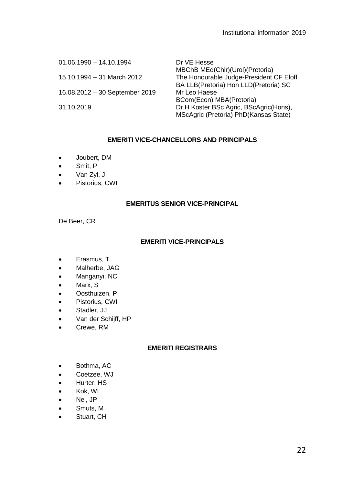| $01.06.1990 - 14.10.1994$      | Dr VE Hesse                                                                     |
|--------------------------------|---------------------------------------------------------------------------------|
| 15.10.1994 - 31 March 2012     | MBChB MEd(Chir)(Urol)(Pretoria)<br>The Honourable Judge-President CF Eloff      |
| 16.08.2012 - 30 September 2019 | BA LLB(Pretoria) Hon LLD(Pretoria) SC<br>Mr Leo Haese                           |
|                                | BCom(Econ) MBA(Pretoria)                                                        |
| 31.10.2019                     | Dr H Koster BSc Agric, BScAgric(Hons),<br>MScAgric (Pretoria) PhD(Kansas State) |

## **EMERITI VICE-CHANCELLORS AND PRINCIPALS**

- <span id="page-21-0"></span>• Joubert, DM
- Smit, P
- Van Zyl, J
- Pistorius, CWI

#### **EMERITUS SENIOR VICE-PRINCIPAL**

<span id="page-21-1"></span>De Beer, CR

## **EMERITI VICE-PRINCIPALS**

- <span id="page-21-2"></span>• Erasmus, T
- Malherbe, JAG
- Manganyi, NC
- Marx, S
- Oosthuizen, P
- Pistorius, CWI
- Stadler, JJ
- Van der Schijff, HP
- Crewe, RM

## **EMERITI REGISTRARS**

- <span id="page-21-3"></span>• Bothma, AC
- Coetzee, WJ
- Hurter, HS
- Kok, WL
- Nel, JP
- Smuts, M
- <span id="page-21-4"></span>• Stuart, CH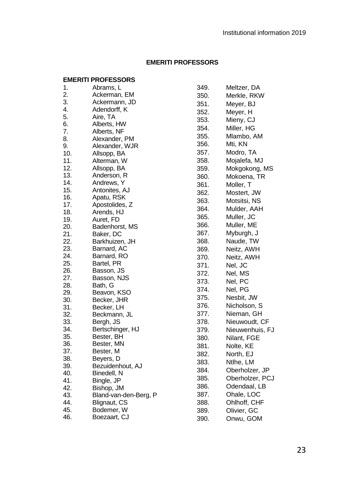| 1.  | Abrams, L             |
|-----|-----------------------|
| 2.  | Ackerman, EM          |
| 3.  | Ackermann, JD         |
| 4.  | Adendorff, K          |
| 5.  | Aire, TA              |
| 6.  | Alberts, HW           |
| 7.  | Alberts, NF           |
| 8.  | Alexander, PM         |
| 9.  | Alexander, WJR        |
| 10. | Allsopp, BA           |
| 11. | Alterman, W           |
| 12. | Allsopp, BA           |
| 13. | Anderson, R           |
| 14. | Andrews, Y            |
| 15. | Antonites, AJ         |
| 16. | Apatu, RSK            |
| 17. | Apostolides, Z        |
| 18. | Arends, HJ            |
| 19. | Auret, FD             |
| 20. | Badenhorst, MS        |
| 21. | Baker, DC             |
| 22. | Barkhuizen, JH        |
| 23. | Barnard, AC           |
| 24. | Barnard, RO           |
| 25. | Bartel, PR            |
| 26. | Basson, JS            |
| 27. | Basson, NJS           |
| 28. | Bath, G               |
| 29. | Beavon, KSO           |
| 30. | Becker, JHR           |
| 31. | Becker, LH            |
| 32. | Beckmann, JL          |
| 33. | Bergh, JS             |
| 34. | Bertschinger, HJ      |
| 35. | Bester, BH            |
| 36. | Bester, MN            |
| 37. | Bester, M             |
| 38. | Beyers, D             |
| 39. | Bezuidenhout, AJ      |
| 40. | Binedell, N           |
| 41. | Bingle, JP            |
| 42. | Bishop, JM            |
| 43. | Bland-van-den-Berg, P |
| 44. | Blignaut, CS          |
| 45. | Bodemer, W            |

| 46. | Boezaart, CJ |  |
|-----|--------------|--|
|-----|--------------|--|

| 349.         | Meltzer, DA     |
|--------------|-----------------|
| 350.         | Merkle, RKW     |
| 351.         | Meyer, BJ       |
| 352.         | Meyer, H        |
| 353.         | Mieny, CJ       |
| 354.         | Miller, HG      |
| 355.         | Mlambo, AM      |
| 356.         | Mti, KN         |
| 357.         | Modro, TA       |
| 358.         | Mojalefa, MJ    |
| 359.         | Mokgokong, MS   |
| 360.         | Mokoena, TR     |
| 361.         | Moller, T       |
| 362.         | Mostert, JW     |
| 363.         | Motsitsi, NS    |
| 364.         | Mulder, AAH     |
| 365.         | Muller, JC      |
| 366.         | Muller, ME      |
|              | Myburgh, J      |
| 367.<br>368. | Naude, TW       |
| 369.         | Neitz, AWH      |
|              |                 |
| 370.         | Neitz, AWH      |
| 371.         | Nel, JC         |
| 372.         | Nel, MS         |
| 373.         | Nel, PC         |
| 374.         | Nel, PG         |
| 375.         | Nesbit, JW      |
| 376.         | Nicholson, S    |
| 377.         | Nieman, GH      |
| 378.         | Nieuwoudt, CF   |
| 379.         | Nieuwenhuis, FJ |
| 380.         | Nilant, FGE     |
| 381.         | Nolte, KE       |
| 382.         | North, EJ       |
| 383.         | Ntlhe, LM       |
| 384.         | Oberholzer, JP  |
| 385.         | Oberholzer, PCJ |
| 386.         | Odendaal, LB    |
| 387.         | Ohale, LOC      |
| 388.         | Ohlhoff, CHF    |
| 389.         | Olivier, GC     |
| 390.         | Onwu, GOM       |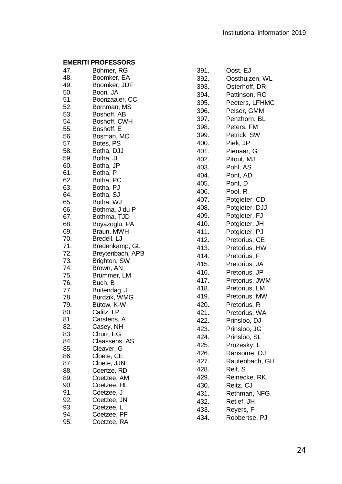| 47. | Böhmer, RG                         |
|-----|------------------------------------|
| 48. | Boomker, EA                        |
| 49. | Boomker, JDF                       |
| 50. | Boon, JA                           |
| 51. | Boonzaaier, CC                     |
| 52. | Bornman, MS                        |
| 53. | Boshoff, AB                        |
| 54. | Boshoff, CWH                       |
| 55. | Boshoff, E                         |
| 56. | Bosman, MC                         |
| 57. | Botes, PS                          |
| 58. | Botha, DJJ                         |
| 59. | Botha, JL                          |
| 60. | Botha, JP                          |
| 61. | Botha, P                           |
| 62. | Botha, PC                          |
| 63. | Botha, PJ                          |
| 64. | Botha, SJ                          |
| 65. | Botha, WJ                          |
| 66. | Bothma, J du P                     |
| 67. | Bothma, TJD                        |
| 68. | Boyazoglu, PA                      |
| 69. | Braun, MWH                         |
| 70. | Bredell, LJ                        |
| 71. |                                    |
| 72. | Bredenkamp, GL<br>Breytenbach, APB |
| 73. | Brighton, SW                       |
| 74. | Brown, AN                          |
| 75. | Brümmer, LM                        |
| 76. |                                    |
| 77. | Buch, B<br>Buitendag, J            |
| 78. | Burdzik, WMG                       |
| 79. | Bütow, K-W                         |
| 80. | Calitz, LP                         |
| 81. | Carstens, A                        |
| 82. | Casey, NH                          |
| 83. | Churr, EG                          |
| 84. | Claassens, AS                      |
| 85. | Cleaver, G                         |
| 86. | Cloete, CE                         |
| 87. | Cloete, JJN                        |
| 88. | Coertze, RD                        |
|     | Coetzee, AM                        |
| 89. |                                    |
| 90. | Coetzee, HL                        |
| 91. | Coetzee, J                         |
| 92. | Coetzee, JN                        |
| 93. | Coetzee, L                         |
| 94. | Coetzee, PF                        |
| 95. | Coetzee, RA                        |

| 391. | Oost, EJ         |
|------|------------------|
| 392. | Oosthuizen, WL   |
| 393. | Osterhoff, DR    |
| 394. | Pattinson, RC    |
| 395. | Peeters, LFHMC   |
| 396. | Pelser, GMM      |
| 397. | Penzhorn, BL     |
| 398. | Peters, FM       |
| 399. | Petrick, SW      |
| 400. | Piek, JP         |
| 401. | Pienaar, G       |
| 402. | Pitout, MJ       |
| 403. | Pohl, AS         |
|      | Pont, AD         |
| 404. | Pont, D          |
| 405. |                  |
| 406. | Pool, R          |
| 407. | Potgieter, CD    |
| 408. | Potgieter, DJJ   |
| 409. | Potgieter, FJ    |
| 410. | Potgieter, JH    |
| 411. | Potgieter, PJ    |
| 412. | Pretorius, CE    |
| 413. | Pretorius, HW    |
| 414. | Pretorius, F     |
| 415. | Pretorius, JA    |
| 416. | Pretorius, JP    |
| 417. | Pretorius, JWM   |
| 418. | Pretorius, LM    |
| 419. | Pretorius, MW    |
| 420. | Pretorius, R     |
| 421. | Pretorius, WA    |
| 422. | Prinsloo, DJ     |
| 423. | Prinsloo, JG     |
| 424. | Prinsloo, SL     |
| 425. | Prozesky, L      |
| 426. | Ransome, OJ      |
| 427. | Rautenbach, GH   |
| 428. | Reif, S          |
| 429. | Reinecke, RK     |
| 430. | Reitz, CJ        |
| 431. | Rethman, NFG     |
| 432. | Retief, JH       |
| 433. | Reyers, F        |
| 434. | Robbertse,<br>PJ |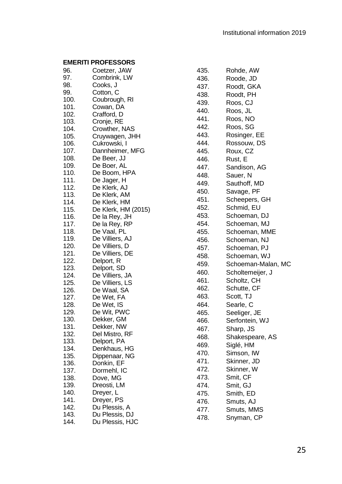| 96.  | Coetzer, JAW                 |
|------|------------------------------|
| 97.  | Combrink, LW                 |
| 98.  | Cooks, J                     |
| 99.  | Cotton, C                    |
| 100. | Coubrough, RI                |
| 101. | Cowan, DA                    |
| 102. | Crafford, D                  |
| 103. | Cronje, RE                   |
| 104. | Crowther, NAS                |
| 105. | Cruywagen, JHH               |
| 106. | Cukrowski, I                 |
| 107. | Dannheimer, MFG              |
| 108. | De Beer, JJ                  |
| 109. | De Boer, AL                  |
| 110. | De Boom, HPA                 |
| 111. | De Jager, H                  |
| 112. | De Klerk, AJ                 |
| 113. |                              |
| 114. | De Klerk, AM<br>De Klerk, HM |
|      |                              |
| 115. | De Klerk, HM (2015)          |
| 116. | De la Rey, JH                |
| 117. | De la Rey, RP                |
| 118. | De Vaal, PL                  |
| 119. | De Villiers, AJ              |
| 120. | De Villiers, D               |
| 121. | De Villiers, DE              |
| 122. | Delport, R                   |
| 123. | Delport, SD                  |
| 124. | De Villiers, JA              |
| 125. | De Villiers, LS              |
| 126. | De Waal, SA                  |
| 127. | De Wet, FA                   |
| 128. | De Wet, IS                   |
| 129. | De Wit, PWC                  |
| 130. | Dekker, GM                   |
| 131. | Dekker, NW                   |
| 132. | Del Mistro, RF               |
| 133. | Delport, PA                  |
| 134. | Denkhaus, HG                 |
| 135. | Dippenaar, NG                |
| 136. | Donkin, EF                   |
| 137. | Dormehl, IC                  |
| 138. | Dove, MG                     |
| 139. | Dreosti, LM                  |
| 140. | Dreyer, L                    |
| 141. | Dreyer, PS                   |
| 142. | Du Plessis, A                |
| 143. | Du Plessis, DJ               |
| 144. | Du Plessis, HJC              |
|      |                              |

| 435. | Rohde, AW          |
|------|--------------------|
| 436. | Roode, JD          |
| 437. | Roodt, GKA         |
| 438. | Roodt, PH          |
| 439. | Roos, CJ           |
| 440. | Roos, JL           |
| 441. | Roos, NO           |
| 442. | Roos, SG           |
| 443. | Rosinger, EE       |
| 444. | Rossouw, DS        |
| 445. | Roux, CZ           |
| 446. | Rust, E            |
| 447. | Sandison, AG       |
| 448. | Sauer, N           |
| 449. | Sauthoff, MD       |
| 450. | Savage, PF         |
| 451. | Scheepers, GH      |
| 452. | Schmid, EU         |
| 453. | Schoeman, DJ       |
| 454. | Schoeman, MJ       |
| 455. | Schoeman, MME      |
| 456. | Schoeman, NJ       |
| 457. | Schoeman, PJ       |
| 458. | Schoeman, WJ       |
| 459. | Schoeman-Malan, MC |
| 460. | Scholtemeijer, J   |
| 461. | Scholtz, CH        |
| 462. | Schutte, CF        |
| 463. | Scott, TJ          |
| 464. | Searle, C          |
| 465. | Seeliger, JE       |
| 466. | Serfontein, WJ     |
| 467. | Sharp, JS          |
| 468. | Shakespeare, AS    |
| 469. | Siglé, HM          |
| 470. | Simson, IW         |
| 471. | Skinner, JD        |
| 472. | Skinner, W         |
| 473. | Smit, CF           |
| 474. | Smit, GJ           |
| 475. | Smith, ED          |
| 476. | Smuts, AJ          |
| 477. | Smuts, MMS         |
| 478. | Snyman, CP         |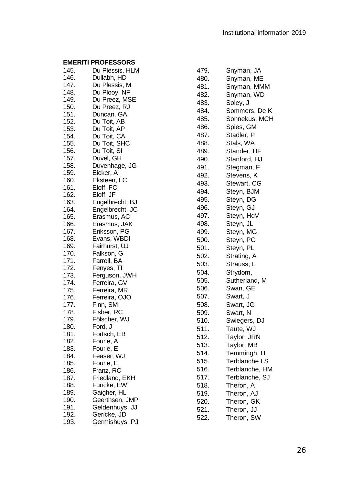| 145.         | Du Plessis, HLM               |
|--------------|-------------------------------|
| 146.         | Dullabh, HD                   |
| 147.         | Du Plessis, M                 |
| 148.         | Du Plooy, NF                  |
| 149.         | Du Preez, MSE                 |
| 150.         | Du Preez, RJ                  |
| 151.         | Duncan, GA                    |
| 152.         | Du Toit, AB                   |
| 153.         | Du Toit, AP                   |
| 154.         | Du Toit, CA                   |
| 155.         | Du Toit, SHC                  |
| 156.         | Du Toit, SI                   |
| 157.         | Duvel, GH                     |
| 158.         | Duvenhage, JG                 |
| 159.         | Eicker, A                     |
| 160.         | Eksteen, LC                   |
| 161.         | Eloff, FC                     |
| 162.         | Eloff, JF                     |
| 163.         | Engelbrecht, BJ               |
| 164.         | Engelbrecht, JC               |
| 165.         | Erasmus, AC                   |
| 166.         | Erasmus, JAK                  |
| 167.         | Eriksson, PG                  |
| 168.         | Evans, WBDI                   |
| 169.         | Fairhurst, UJ                 |
| 170.         | Falkson, G                    |
| 171.         | Farrell, BA                   |
| 172.         | Fenyes, TI                    |
| 173.         | Ferguson, JWH                 |
| 174.         | Ferreira, GV                  |
| 175.         | Ferreira, MR                  |
| 176.         | Ferreira, OJO                 |
| 177.         | Finn, SM                      |
| 178.         | Fisher, RC                    |
| 179.         | Fölscher, WJ                  |
| 180.         | Ford, J                       |
| 181.         | Förtsch, EB                   |
| 182.         | Fourie, A                     |
| 183.         | Fourie, E                     |
| 184.         | Feaser, WJ                    |
| 185.         | Fourie, E                     |
| 186.         | Franz, RC                     |
| 187.         | Friedland, EKH                |
| 188.         | Funcke, EW                    |
| 189.         | Gaigher, HL                   |
| 190.         | Geerthsen, JMP                |
| 191.<br>192. | Geldenhuys, JJ<br>Gericke, JD |
| 193.         | PJ<br>Germishuys,             |
|              |                               |

| 479. | Snyman, JA     |
|------|----------------|
| 480. | Snyman, ME     |
| 481. | Snyman, MMM    |
| 482. | Snyman, WD     |
| 483. | Soley, J       |
| 484. | Sommers, De K  |
| 485. | Sonnekus, MCH  |
| 486. | Spies, GM      |
| 487. | Stadler, P     |
| 488. | Stals, WA      |
| 489. | Stander, HF    |
| 490. | Stanford, HJ   |
| 491. | Stegman, F     |
| 492. | Stevens, K     |
| 493. | Stewart, CG    |
| 494. | Steyn, BJM     |
| 495. | Steyn, DG      |
| 496. | Steyn, GJ      |
| 497. | Steyn, HdV     |
| 498. | Steyn, JL      |
| 499. | Steyn, MG      |
| 500. | Steyn, PG      |
| 501. | Steyn, PL      |
| 502. | Strating, A    |
| 503. | Strauss, L     |
| 504. | Strydom,       |
| 505. | Sutherland, M  |
| 506. | Swan, GE       |
| 507. | Swart, J       |
| 508. | Swart, JG      |
| 509. | Swart, N       |
| 510. | Swiegers, DJ   |
| 511. | Taute, WJ      |
| 512. | Taylor, JRN    |
| 513. | Taylor, MB     |
| 514. | Temmingh, H    |
| 515. | Terblanche LS  |
| 516. | Terblanche, HM |
| 517. | Terblanche, SJ |
| 518. | Theron, A      |
| 519. | Theron, AJ     |
| 520. | Theron, GK     |
| 521. | Theron, JJ     |
| 522. | Theron, SW     |
|      |                |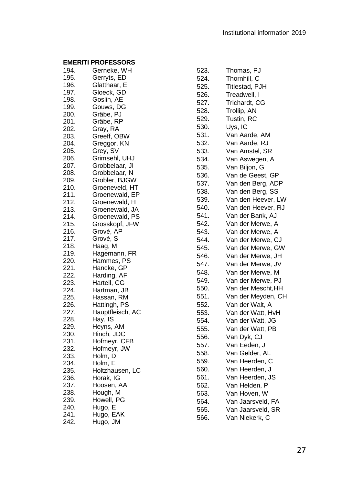| 194.         | Gerneke, WH      |
|--------------|------------------|
| 195.         | Gerryts, ED      |
| 196.         | Glatthaar, E     |
| 197.         | Gloeck, GD       |
| 198.         | Goslin, AE       |
| 199.         | Gouws, DG        |
| 200.         | Gräbe, PJ        |
| 201.         | Gräbe, RP        |
| 202.         | Gray, RA         |
| 203.         | Greeff, OBW      |
| 204.         | Greggor, KN      |
| 205.         | Grey, SV         |
| 206.         | Grimsehl, UHJ    |
| 207.         | Grobbelaar, Jl   |
| 208.         | Grobbelaar, N    |
| 209.         | Grobler, BJGW    |
| 210.         | Groeneveld, HT   |
| 211.         | Groenewald, EP   |
| 212.         | Groenewald, H    |
| 213.         | Groenewald, JA   |
| 214.         | Groenewald, PS   |
| 215.         | Grosskopf, JFW   |
| 216.         | Grové, AP        |
| 217.         | Grové, S         |
| 218.         | Haag, M          |
| 219.         | Hagemann, FR     |
| 220.         | Hammes, PS       |
| 221.         | Hancke, GP       |
| 222.         | Harding, AF      |
| 223.         | Hartell, CG      |
|              | Hartman, JB      |
| 224.<br>225. | Hassan, RM       |
|              | Hattingh, PS     |
| 226.<br>227. | Hauptfleisch, AC |
|              | Hay, IS          |
| 228.<br>229. |                  |
|              | Heyns, AM        |
| 230.         | Hinch, JDC       |
| 231.<br>232. | Hofmeyr, CFB     |
|              | Hofmeyr, JW      |
| 233.         | Holm, D          |
| 234.         | Holm, E          |
| 235.         | Holtzhausen, LC  |
| 236.         | Horak, IG        |
| 237.         | Hoosen, AA       |
| 238.         | Hough, M         |
| 239.         | Howell, PG       |
| 240.         | Hugo, E          |
| 241.         | Hugo, EAK        |
| 242.         | Hugo, JM         |

| 523. | Thomas, PJ         |
|------|--------------------|
| 524. | Thornhill, C       |
| 525. | Titlestad, PJH     |
| 526. | Treadwell, I       |
| 527. | Trichardt, CG      |
| 528. | Trollip, AN        |
| 529. | Tustin, RC         |
| 530. | Uys, IC            |
| 531. | Van Aarde, AM      |
| 532. | Van Aarde, RJ      |
| 533. | Van Amstel, SR     |
| 534. | Van Aswegen, A     |
| 535. | Van Biljon, G      |
| 536. | Van de Geest, GP   |
| 537. | Van den Berg, ADP  |
| 538. | Van den Berg, SS   |
| 539. | Van den Heever, LW |
| 540. | Van den Heever, RJ |
| 541. | Van der Bank, AJ   |
| 542. | Van der Merwe, A   |
| 543. | Van der Merwe, A   |
| 544. | Van der Merwe, CJ  |
| 545. | Van der Merwe, GW  |
| 546. | Van der Merwe, JH  |
| 547. | Van der Merwe, JV  |
| 548. | Van der Merwe, M   |
| 549. | Van der Merwe, PJ  |
| 550. | Van der Mescht, HH |
| 551. | Van der Meyden, CH |
| 552. | Van der Walt, A    |
| 553. | Van der Watt, HvH  |
| 554. | Van der Watt, JG   |
| 555. | Van der Watt, PB   |
| 556. | Van Dyk, CJ        |
| 557. | Van Eeden, J       |
| 558. | Van Gelder, AL     |
| 559. | Van Heerden, C     |
| 560. | Van Heerden, J     |
| 561. | Van Heerden, JS    |
| 562. | Van Helden, P      |
| 563. | Van Hoven, W       |
| 564. | Van Jaarsveld, FA  |
| 565. | Van Jaarsveld, SR  |
| 566. | Van Niekerk, C     |
|      |                    |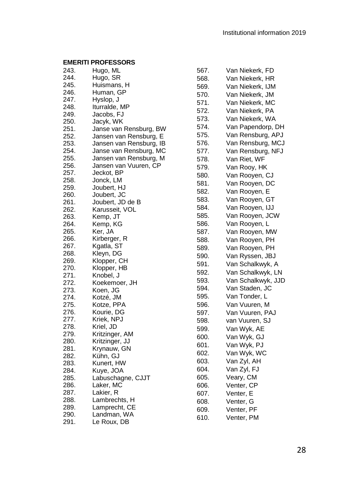| 243. | Hugo, ML                |
|------|-------------------------|
| 244. | Hugo, SR                |
| 245. | Huismans, H             |
| 246. | Human, GP               |
| 247. | Hyslop, J               |
| 248. | Iturralde, MP           |
| 249. | Jacobs, FJ              |
| 250. | Jacyk, WK               |
| 251. | Janse van Rensburg, BW  |
| 252. | Jansen van Rensburg, E  |
| 253. | Jansen van Rensburg, IB |
| 254. | Janse van Rensburg, MC  |
| 255. | Jansen van Rensburg, M  |
| 256. | Jansen van Vuuren, CP   |
| 257. | Jeckot, BP              |
| 258. | Jonck, LM               |
| 259. | Joubert, HJ             |
| 260. | Joubert, JC             |
| 261. | Joubert, JD de B        |
| 262. | Karusseit, VOL          |
| 263. | Kemp, JT                |
| 264. | Kemp, KG                |
| 265. | Ker, JA                 |
| 266. | Kirberger, R            |
| 267. | Kgatla, ST              |
| 268. | Kleyn, DG               |
| 269. | Klopper, CH             |
| 270. | Klopper, HB             |
| 271. | Knobel, J               |
| 272. | Koekemoer, JH           |
| 273. | Koen, JG                |
| 274. | Kotzé, JM               |
| 275. | Kotze, PPA              |
| 276. | Kourie, DG              |
| 277. | Kriek, NPJ              |
| 278. | Kriel, JD               |
| 279. | Kritzinger, AM          |
| 280. | Kritzinger, JJ          |
| 281. | Krynauw, GN             |
| 282. | Kühn, GJ                |
| 283. | Kunert, HW              |
| 284. | Kuye, JOA               |
| 285. | Labuschagne, CJJT       |
| 286. | Laker, MC               |
|      |                         |
| 287. | Lakier, R               |
| 288. | Lambrechts, H           |
| 289. | Lamprecht, CE           |
| 290. | Landman, WA             |
| 291. | Le Roux, DB             |

| 567. | Van Niekerk, FD    |
|------|--------------------|
| 568. | Van Niekerk, HR    |
| 569. | Van Niekerk, IJM   |
| 570. | Van Niekerk, JM    |
| 571. | Van Niekerk, MC    |
| 572. | Van Niekerk, PA    |
| 573. | Van Niekerk, WA    |
| 574. | Van Papendorp, DH  |
| 575. | Van Rensburg, APJ  |
| 576. | Van Rensburg, MCJ  |
| 577. | Van Rensburg, NFJ  |
| 578. | Van Riet, WF       |
| 579. | Van Rooy, HK       |
| 580. | Van Rooyen, CJ     |
| 581. | Van Rooyen, DC     |
| 582. | Van Rooyen, E      |
| 583. | Van Rooyen, GT     |
| 584. | Van Rooyen, IJJ    |
| 585. | Van Rooyen, JCW    |
| 586. | Van Rooyen, L      |
| 587. | Van Rooyen, MW     |
| 588. | Van Rooyen, PH     |
| 589. | Van Rooyen, PH     |
| 590. | Van Ryssen, JBJ    |
| 591. | Van Schalkwyk, A   |
| 592. | Van Schalkwyk, LN  |
| 593. | Van Schalkwyk, JJD |
| 594. | Van Staden, JC     |
| 595. | Van Tonder, L      |
| 596. | Van Vuuren, M      |
| 597. | Van Vuuren, PAJ    |
| 598. | van Vuuren, SJ     |
| 599. | Van Wyk, AE        |
| 600. | Van Wyk, GJ        |
| 601. | Van Wyk, PJ        |
| 602. | Van Wyk, WC        |
| 603. | Van Zyl, AH        |
| 604. | Van Zyl, FJ        |
| 605. | Veary, CM          |
| 606. | Venter, CP         |
| 607. | Venter, E          |
| 608. | Venter, G          |
| 609. | Venter, PF         |
| 610. | Venter, PM         |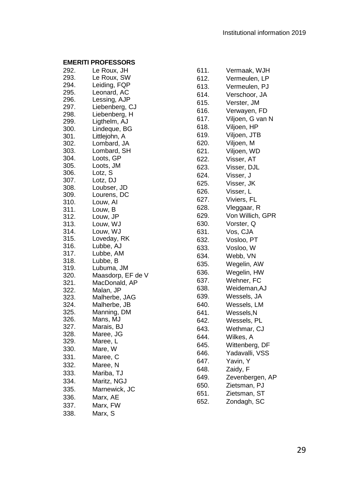| 292. | Le Roux, JH       |
|------|-------------------|
| 293. | Le Roux, SW       |
| 294. | Leiding, FQP      |
| 295. | Leonard, AC       |
| 296. | Lessing, AJP      |
| 297. | Liebenberg, CJ    |
| 298. | Liebenberg, H     |
| 299. | Ligthelm, AJ      |
| 300. | Lindeque, BG      |
| 301. | Littlejohn, A     |
| 302. | Lombard, JA       |
| 303. | Lombard, SH       |
| 304. | Loots, GP         |
| 305. |                   |
|      | Loots, JM         |
| 306. | Lotz, S           |
| 307. | Lotz, DJ          |
| 308. | Loubser, JD       |
| 309. | Lourens, DC       |
| 310. | Louw, Al          |
| 311. | Louw, B           |
| 312. | Louw, JP          |
| 313. | Louw, WJ          |
| 314. | Louw, WJ          |
| 315. | Loveday, RK       |
| 316. | Lubbe, AJ         |
| 317. | Lubbe, AM         |
| 318. | Lubbe, B          |
| 319. | Lubuma, JM        |
| 320. | Maasdorp, EF de V |
| 321. | MacDonald, AP     |
| 322. | Malan, JP         |
| 323. | Malherbe, JAG     |
| 324. | Malherbe, JB      |
| 325. | Manning, DM       |
| 326. | Mans, MJ          |
| 327. | Marais, BJ        |
| 328. | Maree, JG         |
| 329. | Maree, L          |
| 330. | Mare, W           |
| 331. | Maree, C          |
| 332. | Maree, N          |
| 333. | Mariba, TJ        |
| 334. | Maritz, NGJ       |
|      |                   |
| 335. | Marnewick, JC     |
| 336. | Marx, AE          |
| 337. | Marx, FW          |
| 338. | Marx,<br>S        |
|      |                   |

| 611. | Vermaak, WJH     |
|------|------------------|
| 612. | Vermeulen, LP    |
| 613. | Vermeulen, PJ    |
| 614. | Verschoor, JA    |
| 615. | Verster, JM      |
| 616. | Verwayen, FD     |
| 617. | Viljoen, G van N |
| 618. | Viljoen, HP      |
| 619. | Viljoen, JTB     |
| 620. | Viljoen, M       |
| 621. | Viljoen, WD      |
| 622. | Visser, AT       |
| 623. | Visser, DJL      |
| 624. | Visser, J        |
| 625. | Visser, JK       |
| 626. | Visser, L        |
| 627. | Viviers, FL      |
| 628. | Vleggaar, R      |
| 629. | Von Willich, GPR |
| 630. | Vorster, Q       |
| 631. | Vos, CJA         |
| 632. | Vosloo, PT       |
| 633. | Vosloo, W        |
| 634. | Webb, VN         |
| 635. | Wegelin, AW      |
| 636. | Wegelin, HW      |
| 637. | Wehner, FC       |
| 638. | Weideman, AJ     |
| 639. | Wessels, JA      |
| 640. | Wessels, LM      |
| 641. | Wessels, N       |
| 642. | Wessels, PL      |
| 643. | Wethmar, CJ      |
| 644. | Wilkes, A        |
| 645. | Wittenberg, DF   |
| 646. | Yadavalli, VSS   |
| 647. | Yavin, Y         |
| 648. | Zaidy, F         |
| 649. | Zevenbergen, AP  |
| 650. | Zietsman, PJ     |
| 651. | Zietsman, ST     |
| 652. | Zondagh, SC      |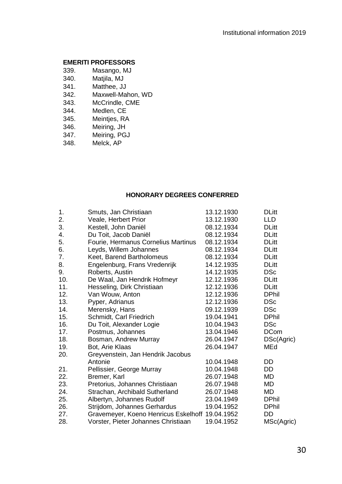- 339. Masango, MJ
- 340. Matjila, MJ
- 341. Matthee, JJ
- 342. Maxwell-Mahon, WD
- 343. McCrindle, CME<br>344. Medlen. CE
- Medlen, CE
- 345. Meintjes, RA
- 346. Meiring, JH
- 347. Meiring, PGJ<br>348. Melck. AP
- Melck, AP

# **HONORARY DEGREES CONFERRED**

<span id="page-29-0"></span>

| 1.  | Smuts, Jan Christiaan                           | 13.12.1930 | <b>DLitt</b> |
|-----|-------------------------------------------------|------------|--------------|
| 2.  | Veale, Herbert Prior                            | 13.12.1930 | LLD.         |
| 3.  | Kestell, John Daniël                            | 08.12.1934 | <b>DLitt</b> |
| 4.  | Du Toit, Jacob Daniël                           | 08.12.1934 | <b>DLitt</b> |
| 5.  | Fourie, Hermanus Cornelius Martinus             | 08.12.1934 | <b>DLitt</b> |
| 6.  | Leyds, Willem Johannes                          | 08.12.1934 | <b>DLitt</b> |
| 7.  | Keet, Barend Bartholomeus                       | 08.12.1934 | <b>DLitt</b> |
| 8.  | Engelenburg, Frans Vredenrijk                   | 14.12.1935 | <b>DLitt</b> |
| 9.  | Roberts, Austin                                 | 14.12.1935 | DSc          |
| 10. | De Waal, Jan Hendrik Hofmeyr                    | 12.12.1936 | <b>DLitt</b> |
| 11. | Hesseling, Dirk Christiaan                      | 12.12.1936 | <b>DLitt</b> |
| 12. | Van Wouw, Anton                                 | 12.12.1936 | <b>DPhil</b> |
| 13. | Pyper, Adrianus                                 | 12.12.1936 | <b>DSc</b>   |
| 14. | Merensky, Hans                                  | 09.12.1939 | DSc          |
| 15. | Schmidt, Carl Friedrich                         | 19.04.1941 | <b>DPhil</b> |
| 16. | Du Toit, Alexander Logie                        | 10.04.1943 | <b>DSc</b>   |
| 17. | Postmus, Johannes                               | 13.04.1946 | <b>DCom</b>  |
| 18. | Bosman, Andrew Murray                           | 26.04.1947 | DSc(Agric)   |
| 19. | Bot, Arie Klaas                                 | 26.04.1947 | MEd          |
| 20. | Greyvenstein, Jan Hendrik Jacobus               |            |              |
|     | Antonie                                         | 10.04.1948 | DD           |
| 21. | Pellissier, George Murray                       | 10.04.1948 | DD           |
| 22. | Bremer, Karl                                    | 26.07.1948 | <b>MD</b>    |
| 23. | Pretorius, Johannes Christiaan                  | 26.07.1948 | MD           |
| 24. | Strachan, Archibald Sutherland                  | 26.07.1948 | MD           |
| 25. | Albertyn, Johannes Rudolf                       | 23.04.1949 | <b>DPhil</b> |
| 26. | Strijdom, Johannes Gerhardus                    | 19.04.1952 | <b>DPhil</b> |
| 27. | Gravemeyer, Koeno Henricus Eskelhoff 19.04.1952 |            | DD           |
| 28. | Vorster, Pieter Johannes Christiaan             | 19.04.1952 | MSc(Agric)   |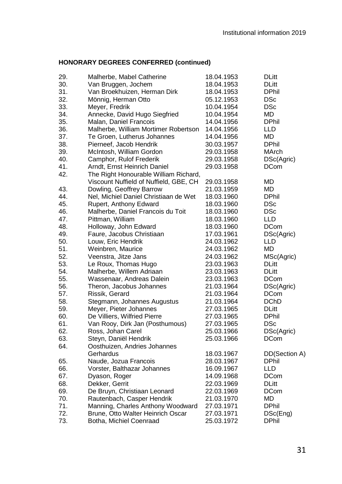| 29. | Malherbe, Mabel Catherine              | 18.04.1953 | <b>DLitt</b>  |
|-----|----------------------------------------|------------|---------------|
| 30. | Van Bruggen, Jochem                    | 18.04.1953 | <b>DLitt</b>  |
| 31. | Van Broekhuizen, Herman Dirk           | 18.04.1953 | <b>DPhil</b>  |
| 32. | Mönnig, Herman Otto                    | 05.12.1953 | <b>DSc</b>    |
| 33. | Meyer, Fredrik                         | 10.04.1954 | DSc           |
| 34. | Annecke, David Hugo Siegfried          | 10.04.1954 | MD            |
| 35. | Malan, Daniel Francois                 | 14.04.1956 | <b>DPhil</b>  |
| 36. | Malherbe, William Mortimer Robertson   | 14.04.1956 | LLD           |
| 37. | Te Groen, Lutherus Johannes            | 14.04.1956 | MD            |
| 38. | Pierneef, Jacob Hendrik                | 30.03.1957 | <b>DPhil</b>  |
| 39. | McIntosh, William Gordon               | 29.03.1958 | MArch         |
| 40. | Camphor, Rulof Frederik                | 29.03.1958 | DSc(Agric)    |
| 41. | Arndt, Ernst Heinrich Daniel           | 29.03.1958 | DCom          |
| 42. | The Right Honourable William Richard,  |            |               |
|     | Viscount Nuffield of Nuffield, GBE, CH | 29.03.1958 | MD            |
| 43. | Dowling, Geoffrey Barrow               | 21.03.1959 | MD            |
| 44. | Nel, Michiel Daniel Christiaan de Wet  | 18.03.1960 | <b>DPhil</b>  |
| 45. | Rupert, Anthony Edward                 | 18.03.1960 | <b>DSc</b>    |
| 46. | Malherbe, Daniel Francois du Toit      | 18.03.1960 | <b>DSc</b>    |
| 47. | Pittman, William                       | 18.03.1960 | <b>LLD</b>    |
| 48. | Holloway, John Edward                  | 18.03.1960 | <b>DCom</b>   |
| 49. | Faure, Jacobus Christiaan              | 17.03.1961 | DSc(Agric)    |
| 50. | Louw, Eric Hendrik                     | 24.03.1962 | LLD           |
| 51. | Weinbren, Maurice                      | 24.03.1962 | MD            |
| 52. | Veenstra, Jitze Jans                   | 24.03.1962 | MSc(Agric)    |
| 53. | Le Roux, Thomas Hugo                   | 23.03.1963 | DLitt         |
| 54. | Malherbe, Willem Adriaan               | 23.03.1963 | <b>DLitt</b>  |
| 55. | Wassenaar, Andreas Dalein              | 23.03.1963 | DCom          |
| 56. | Theron, Jacobus Johannes               | 21.03.1964 | DSc(Agric)    |
| 57. | Rissik, Gerard                         | 21.03.1964 | <b>DCom</b>   |
| 58. | Stegmann, Johannes Augustus            | 21.03.1964 | <b>DChD</b>   |
| 59. | Meyer, Pieter Johannes                 | 27.03.1965 | DLitt         |
| 60. | De Villiers, Wilfried Pierre           | 27.03.1965 | <b>DPhil</b>  |
| 61. | Van Rooy, Dirk Jan (Posthumous)        | 27.03.1965 | DSc           |
| 62. | Ross, Johan Carel                      | 25.03.1966 | DSc(Agric)    |
| 63. | Steyn, Daniël Hendrik                  | 25.03.1966 | DCom          |
| 64. | Oosthuizen, Andries Johannes           |            |               |
|     | Gerhardus                              | 18.03.1967 | DD(Section A) |
| 65. | Naude, Jozua Francois                  | 28.03.1967 | <b>DPhil</b>  |
| 66. | Vorster, Balthazar Johannes            | 16.09.1967 | LLD           |
| 67. | Dyason, Roger                          | 14.09.1968 | <b>DCom</b>   |
| 68. | Dekker, Gerrit                         | 22.03.1969 | <b>DLitt</b>  |
| 69. | De Bruyn, Christiaan Leonard           | 22.03.1969 | <b>DCom</b>   |
| 70. | Rautenbach, Casper Hendrik             | 21.03.1970 | MD            |
| 71. | Manning, Charles Anthony Woodward      | 27.03.1971 | <b>DPhil</b>  |
| 72. | Brune, Otto Walter Heinrich Oscar      | 27.03.1971 | DSc(Eng)      |
| 73. | Botha, Michiel Coenraad                | 25.03.1972 | DPhil         |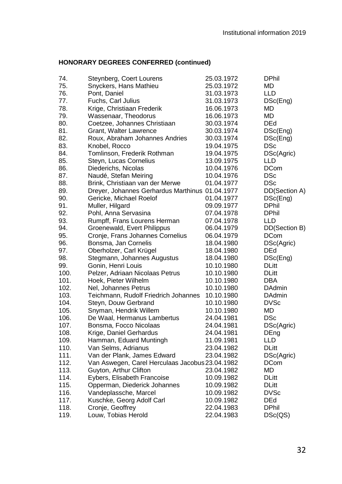| 74.          | Steynberg, Coert Lourens                        | 25.03.1972               | <b>DPhil</b>          |
|--------------|-------------------------------------------------|--------------------------|-----------------------|
| 75.          | Snyckers, Hans Mathieu                          | 25.03.1972               | MD                    |
| 76.          | Pont, Daniel                                    | 31.03.1973               | LLD                   |
| 77.          | Fuchs, Carl Julius                              | 31.03.1973               | DSc(Eng)              |
| 78.          | Krige, Christiaan Frederik                      | 16.06.1973               | MD                    |
| 79.          | Wassenaar, Theodorus                            | 16.06.1973               | MD                    |
| 80.          | Coetzee, Johannes Christiaan                    | 30.03.1974               | <b>DEd</b>            |
| 81.          | Grant, Walter Lawrence                          | 30.03.1974               | DSc(Eng)              |
| 82.          | Roux, Abraham Johannes Andries                  | 30.03.1974               | DSc(Eng)              |
| 83.          | Knobel, Rocco                                   | 19.04.1975               | DSc                   |
| 84.          | Tomlinson, Frederik Rothman                     | 19.04.1975               | DSc(Agric)            |
| 85.          | Steyn, Lucas Cornelius                          | 13.09.1975               | LLD                   |
| 86.          | Diederichs, Nicolas                             | 10.04.1976               | <b>DCom</b>           |
| 87.          | Naudé, Stefan Meiring                           | 10.04.1976               | DSc                   |
| 88.          | Brink, Christiaan van der Merwe                 | 01.04.1977               | <b>DSc</b>            |
| 89.          | Dreyer, Johannes Gerhardus Marthinus 01.04.1977 |                          | DD(Section A)         |
| 90.          | Gericke, Michael Roelof                         | 01.04.1977               | DSc(Eng)              |
| 91.          | Muller, Hilgard                                 | 09.09.1977               | <b>DPhil</b>          |
| 92.          | Pohl, Anna Servasina                            | 07.04.1978               | <b>DPhil</b>          |
| 93.          | Rumpff, Frans Lourens Herman                    | 07.04.1978               | LLD                   |
| 94.          | Groenewald, Evert Philippus                     | 06.04.1979               | DD(Section B)         |
| 95.          | Cronje, Frans Johannes Cornelius                | 06.04.1979               | DCom                  |
| 96.          | Bonsma, Jan Cornelis                            | 18.04.1980               | DSc(Agric)            |
| 97.          | Oberholzer, Carl Krügel                         | 18.04.1980               | DEd                   |
| 98.          | Stegmann, Johannes Augustus                     | 18.04.1980               | DSc(Eng)              |
| 99.          |                                                 |                          | <b>DLitt</b>          |
| 100.         | Gonin, Henri Louis                              | 10.10.1980<br>10.10.1980 | <b>DLitt</b>          |
| 101.         | Pelzer, Adriaan Nicolaas Petrus                 |                          | DBA                   |
| 102.         | Hoek, Pieter Wilhelm                            | 10.10.1980               | <b>DAdmin</b>         |
| 103.         | Nel, Johannes Petrus                            | 10.10.1980               |                       |
| 104.         | Teichmann, Rudolf Friedrich Johannes            | 10.10.1980               | DAdmin<br><b>DVSc</b> |
|              | Steyn, Douw Gerbrand                            | 10.10.1980               |                       |
| 105.<br>106. | Snyman, Hendrik Willem                          | 10.10.1980               | MD<br>DSc             |
|              | De Waal, Hermanus Lambertus                     | 24.04.1981               |                       |
| 107.         | Bonsma, Focco Nicolaas                          | 24.04.1981               | DSc(Agric)            |
| 108.         | Krige, Daniel Gerhardus                         | 24.04.1981               | DEng                  |
| 109.         | Hamman, Eduard Muntingh                         | 11.09.1981               | <b>LLD</b>            |
| 110.         | Van Selms, Adrianus                             | 23.04.1982               | <b>DLitt</b>          |
| 111.         | Van der Plank, James Edward                     | 23.04.1982               | DSc(Agric)            |
| 112.         | Van Aswegen, Carel Herculaas Jacobus 23.04.1982 |                          | <b>DCom</b>           |
| 113.         | Guyton, Arthur Clifton                          | 23.04.1982               | MD                    |
| 114.         | Eybers, Elisabeth Francoise                     | 10.09.1982               | <b>DLitt</b>          |
| 115.         | Opperman, Diederick Johannes                    | 10.09.1982               | DLitt                 |
| 116.         | Vandeplassche, Marcel                           | 10.09.1982               | <b>DVSc</b>           |
| 117.         | Kuschke, Georg Adolf Carl                       | 10.09.1982               | <b>DEd</b>            |
| 118.         | Cronje, Geoffrey                                | 22.04.1983               | <b>DPhil</b>          |
| 119.         | Louw, Tobias Herold                             | 22.04.1983               | DSc(QS)               |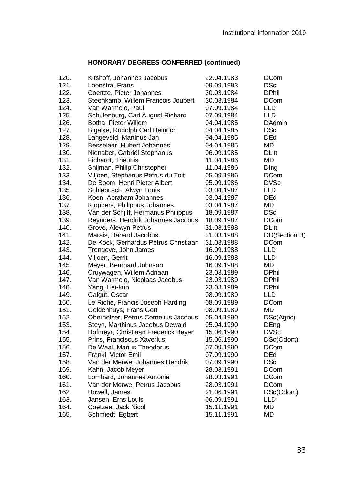| 120. | Kitshoff, Johannes Jacobus           | 22.04.1983 | <b>DCom</b>   |
|------|--------------------------------------|------------|---------------|
| 121. | Loonstra, Frans                      | 09.09.1983 | DSc           |
| 122. | Coertze, Pieter Johannes             | 30.03.1984 | <b>DPhil</b>  |
| 123. | Steenkamp, Willem Francois Joubert   | 30.03.1984 | <b>DCom</b>   |
| 124. | Van Warmelo, Paul                    | 07.09.1984 | LLD           |
| 125. | Schulenburg, Carl August Richard     | 07.09.1984 | LLD           |
| 126. | Botha, Pieter Willem                 | 04.04.1985 | <b>DAdmin</b> |
| 127. | Bigalke, Rudolph Carl Heinrich       | 04.04.1985 | DSc           |
| 128. | Langeveld, Martinus Jan              | 04.04.1985 | <b>DEd</b>    |
| 129. | Besselaar, Hubert Johannes           | 04.04.1985 | MD            |
| 130. | Nienaber, Gabriël Stephanus          | 06.09.1985 | <b>DLitt</b>  |
| 131. | Fichardt, Theunis                    | 11.04.1986 | MD            |
| 132. | Snijman, Philip Christopher          | 11.04.1986 | Ding          |
| 133. | Viljoen, Stephanus Petrus du Toit    | 05.09.1986 | <b>DCom</b>   |
| 134. | De Boom, Henri Pieter Albert         | 05.09.1986 | <b>DVSc</b>   |
| 135. | Schlebusch, Alwyn Louis              | 03.04.1987 | LLD           |
| 136. | Koen, Abraham Johannes               | 03.04.1987 | <b>DEd</b>    |
| 137. | Kloppers, Philippus Johannes         | 03.04.1987 | MD            |
| 138. | Van der Schjiff, Hermanus Philippus  | 18.09.1987 | DSc           |
| 139. | Reynders, Hendrik Johannes Jacobus   | 18.09.1987 | <b>DCom</b>   |
| 140. | Grové, Alewyn Petrus                 | 31.03.1988 | <b>DLitt</b>  |
| 141. | Marais, Barend Jacobus               | 31.03.1988 | DD(Section B) |
| 142. | De Kock, Gerhardus Petrus Christiaan | 31.03.1988 | <b>DCom</b>   |
| 143. | Trengove, John James                 | 16.09.1988 | LLD           |
| 144. | Viljoen, Gerrit                      | 16.09.1988 | <b>LLD</b>    |
| 145. | Meyer, Bernhard Johnson              | 16.09.1988 | MD            |
| 146. | Cruywagen, Willem Adriaan            | 23.03.1989 | <b>DPhil</b>  |
| 147. | Van Warmelo, Nicolaas Jacobus        | 23.03.1989 | <b>DPhil</b>  |
| 148. | Yang, Hsi-kun                        | 23.03.1989 | <b>DPhil</b>  |
| 149. | Galgut, Oscar                        | 08.09.1989 | LLD           |
| 150. | Le Riche, Francis Joseph Harding     | 08.09.1989 | <b>DCom</b>   |
| 151. | Geldenhuys, Frans Gert               | 08.09.1989 | MD            |
| 152. | Oberholzer, Petrus Cornelius Jacobus | 05.04.1990 | DSc(Agric)    |
| 153. | Steyn, Marthinus Jacobus Dewald      | 05.04.1990 | DEng          |
| 154. | Hofmeyr, Christiaan Frederick Beyer  | 15.06.1990 | <b>DVSc</b>   |
| 155. | Prins, Franciscus Xaverius           | 15.06.1990 | DSc(Odont)    |
| 156. | De Waal, Marius Theodorus            | 07.09.1990 | <b>DCom</b>   |
| 157. | Frankl, Victor Emil                  | 07.09.1990 | DEd           |
| 158. | Van der Merwe, Johannes Hendrik      | 07.09.1990 | <b>DSc</b>    |
| 159. | Kahn, Jacob Meyer                    | 28.03.1991 | <b>DCom</b>   |
| 160. | Lombard, Johannes Antonie            | 28.03.1991 | <b>DCom</b>   |
| 161. | Van der Merwe, Petrus Jacobus        | 28.03.1991 | <b>DCom</b>   |
| 162. | Howell, James                        | 21.06.1991 | DSc(Odont)    |
| 163. | Jansen, Erns Louis                   | 06.09.1991 | LLD           |
| 164. | Coetzee, Jack Nicol                  | 15.11.1991 | MD            |
| 165. | Schmiedt, Egbert                     | 15.11.1991 | MD            |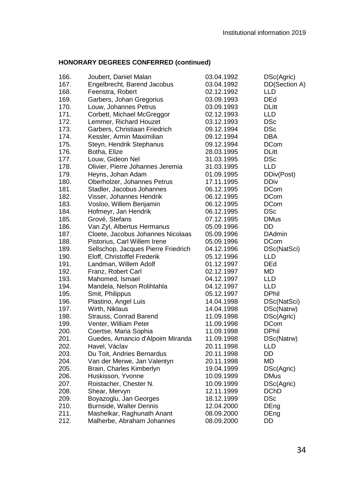| 166. | Joubert, Daniel Malan               | 03.04.1992 | DSc(Agric)    |
|------|-------------------------------------|------------|---------------|
| 167. | Engelbrecht, Barend Jacobus         | 03.04.1992 | DD(Section A) |
| 168. | Feenstra, Robert                    | 02.12.1992 | LLD           |
| 169. | Garbers, Johan Gregorius            | 03.09.1993 | DEd           |
| 170. | Louw, Johannes Petrus               | 03.09.1993 | <b>DLitt</b>  |
| 171. | Corbett, Michael McGreggor          | 02.12.1993 | <b>LLD</b>    |
| 172. | Lemmer, Richard Houzet              | 03.12.1993 | <b>DSc</b>    |
| 173. | Garbers, Christiaan Friedrich       | 09.12.1994 | <b>DSc</b>    |
| 174. | Kessler, Armin Maximilian           | 09.12.1994 | <b>DBA</b>    |
| 175. | Steyn, Hendrik Stephanus            | 09.12.1994 | <b>DCom</b>   |
| 176. | Botha, Elize                        | 28.03.1995 | <b>DLitt</b>  |
| 177. | Louw, Gideon Nel                    | 31.03.1995 | <b>DSc</b>    |
| 178. | Olivier, Pierre Johannes Jeremia    | 31.03.1995 | <b>LLD</b>    |
| 179. | Heyns, Johan Adam                   | 01.09.1995 | DDiv(Post)    |
| 180. | Oberholzer, Johannes Petrus         | 17.11.1995 | DDiv          |
| 181. | Stadler, Jacobus Johannes           | 06.12.1995 | DCom          |
| 182. | Visser, Johannes Hendrik            | 06.12.1995 | <b>DCom</b>   |
| 183. | Vosloo, Willem Benjamin             | 06.12.1995 | <b>DCom</b>   |
| 184. | Hofmeyr, Jan Hendrik                | 06.12.1995 | DSc           |
| 185. | Grové, Stefans                      | 07.12.1995 | <b>DMus</b>   |
| 186. | Van Zyl, Albertus Hermanus          | 05.09.1996 | DD            |
| 187. | Cloete, Jacobus Johannes Nicolaas   | 05.09.1996 | <b>DAdmin</b> |
| 188. | Pistorius, Carl Willem Irene        | 05.09.1996 | <b>DCom</b>   |
| 189. | Sellschop, Jacques Pierre Friedrich | 04.12.1996 | DSc(NatSci)   |
| 190. | Eloff, Christoffel Frederik         | 05.12.1996 | LLD           |
| 191. | Landman, Willem Adolf               | 01.12.1997 | <b>DEd</b>    |
| 192. | Franz, Robert Carl                  | 02.12.1997 | MD.           |
| 193. | Mahomed, Ismael                     | 04.12.1997 | LLD           |
| 194. | Mandela, Nelson Rolihlahla          | 04.12.1997 | <b>LLD</b>    |
| 195. | Smit, Philippus                     | 05.12.1997 | <b>DPhil</b>  |
| 196. | Plastino, Angel Luis                | 14.04.1998 | DSc(NatSci)   |
| 197. | Wirth, Niklaus                      | 14.04.1998 | DSc(Natrw)    |
| 198. | Strauss, Conrad Barend              | 11.09.1998 | DSc(Agric)    |
| 199. | Venter, William Peter               | 11.09.1998 | DCom          |
| 200. | Coertse, Maria Sophia               | 11.09.1998 | <b>DPhil</b>  |
| 201. | Guedes, Amancio d'Alpoim Miranda    | 11.09.1998 | DSc(Natrw)    |
| 202. | Havel, Václav                       | 20.11.1998 | LLD           |
| 203. | Du Toit, Andries Bernardus          | 20.11.1998 | DD            |
| 204. | Van der Merwe, Jan Valentyn         | 20.11.1998 | MD            |
| 205. | Brain, Charles Kimberlyn            | 19.04.1999 | DSc(Agric)    |
| 206. | Huskisson, Yvonne                   | 10.09.1999 | <b>DMus</b>   |
| 207. | Roistacher, Chester N.              | 10.09.1999 | DSc(Agric)    |
| 208. | Shear, Mervyn                       | 12.11.1999 | DChD          |
| 209. | Boyazoglu, Jan Georges              | 18.12.1999 | DSc           |
| 210. | Burnside, Walter Dennis             | 12.04.2000 | DEng          |
| 211. | Mashelkar, Raghunath Anant          | 08.09.2000 | DEng          |
| 212. | Malherbe, Abraham Johannes          | 08.09.2000 | DD            |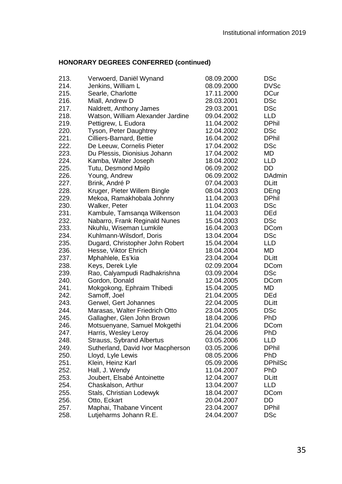| 213. | Verwoerd, Daniël Wynand           | 08.09.2000 | <b>DSc</b>     |
|------|-----------------------------------|------------|----------------|
| 214. | Jenkins, William L                | 08.09.2000 | <b>DVSc</b>    |
| 215. | Searle, Charlotte                 | 17.11.2000 | <b>DCur</b>    |
| 216. | Miall, Andrew D                   | 28.03.2001 | <b>DSc</b>     |
| 217. | Naldrett, Anthony James           | 29.03.2001 | <b>DSc</b>     |
| 218. | Watson, William Alexander Jardine | 09.04.2002 | <b>LLD</b>     |
| 219. | Pettigrew, L Eudora               | 11.04.2002 | <b>DPhil</b>   |
| 220. | Tyson, Peter Daughtrey            | 12.04.2002 | <b>DSc</b>     |
| 221. | Cilliers-Barnard, Bettie          | 16.04.2002 | <b>DPhil</b>   |
| 222. | De Leeuw, Cornelis Pieter         | 17.04.2002 | DSc            |
| 223. | Du Plessis, Dionisius Johann      | 17.04.2002 | <b>MD</b>      |
| 224. | Kamba, Walter Joseph              | 18.04.2002 | LLD            |
| 225. | Tutu, Desmond Mpilo               | 06.09.2002 | DD             |
| 226. | Young, Andrew                     | 06.09.2002 | <b>DAdmin</b>  |
| 227. | Brink, André P                    | 07.04.2003 | <b>DLitt</b>   |
| 228. | Kruger, Pieter Willem Bingle      | 08.04.2003 | DEng           |
| 229. | Mekoa, Ramakhobala Johnny         | 11.04.2003 | <b>DPhil</b>   |
| 230. | Walker, Peter                     | 11.04.2003 | <b>DSc</b>     |
| 231. | Kambule, Tamsanga Wilkenson       | 11.04.2003 | <b>DEd</b>     |
| 232. | Nabarro, Frank Reginald Nunes     | 15.04.2003 | <b>DSc</b>     |
| 233. | Nkuhlu, Wiseman Lumkile           | 16.04.2003 | <b>DCom</b>    |
| 234. | Kuhlmann-Wilsdorf, Doris          | 13.04.2004 | <b>DSc</b>     |
| 235. | Dugard, Christopher John Robert   | 15.04.2004 | <b>LLD</b>     |
| 236. | Hesse, Viktor Ehrich              | 18.04.2004 | MD             |
| 237. | Mphahlele, Es'kia                 | 23.04.2004 | <b>DLitt</b>   |
| 238. | Keys, Derek Lyle                  | 02.09.2004 | <b>DCom</b>    |
| 239. | Rao, Calyampudi Radhakrishna      | 03.09.2004 | <b>DSc</b>     |
| 240. | Gordon, Donald                    | 12.04.2005 | <b>DCom</b>    |
| 241. | Mokgokong, Ephraim Thibedi        | 15.04.2005 | MD             |
| 242. | Samoff, Joel                      | 21.04.2005 | <b>DEd</b>     |
| 243. | Gerwel, Gert Johannes             | 22.04.2005 | <b>DLitt</b>   |
| 244. | Marasas, Walter Friedrich Otto    | 23.04.2005 | <b>DSc</b>     |
| 245. | Gallagher, Glen John Brown        | 18.04.2006 | PhD            |
| 246. | Motsuenyane, Samuel Mokgethi      | 21.04.2006 | <b>DCom</b>    |
| 247. | Harris, Wesley Leroy              | 26.04.2006 | <b>PhD</b>     |
| 248. | Strauss, Sybrand Albertus         | 03.05.2006 | LLD            |
| 249. | Sutherland, David Ivor Macpherson | 03.05.2006 | <b>DPhil</b>   |
| 250. | Lloyd, Lyle Lewis                 | 08.05.2006 | PhD            |
| 251. | Klein, Heinz Karl                 | 05.09.2006 | <b>DPhilSc</b> |
| 252. | Hall, J. Wendy                    | 11.04.2007 | PhD            |
| 253. | Joubert, Elsabé Antoinette        | 12.04.2007 | <b>DLitt</b>   |
| 254. | Chaskalson, Arthur                | 13.04.2007 | <b>LLD</b>     |
| 255. | Stals, Christian Lodewyk          | 18.04.2007 | <b>DCom</b>    |
| 256. | Otto, Eckart                      | 20.04.2007 | DD             |
| 257. | Maphai, Thabane Vincent           | 23.04.2007 | <b>DPhil</b>   |
| 258. | Lutjeharms Johann R.E.            | 24.04.2007 | <b>DSc</b>     |
|      |                                   |            |                |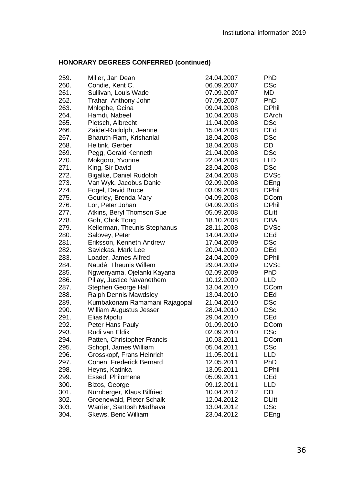| 259. | Miller, Jan Dean              | 24.04.2007 | PhD          |
|------|-------------------------------|------------|--------------|
| 260. | Condie, Kent C.               | 06.09.2007 | DSc          |
| 261. | Sullivan, Louis Wade          | 07.09.2007 | MD           |
| 262. | Trahar, Anthony John          | 07.09.2007 | PhD          |
| 263. | Mhlophe, Gcina                | 09.04.2008 | <b>DPhil</b> |
| 264. | Hamdi, Nabeel                 | 10.04.2008 | DArch        |
| 265. | Pietsch, Albrecht             | 11.04.2008 | DSc          |
| 266. | Zaidel-Rudolph, Jeanne        | 15.04.2008 | <b>DEd</b>   |
| 267. | Bharuth-Ram, Krishanlal       | 18.04.2008 | <b>DSc</b>   |
| 268. | Heitink, Gerber               | 18.04.2008 | DD           |
| 269. | Pegg, Gerald Kenneth          | 21.04.2008 | <b>DSc</b>   |
| 270. | Mokgoro, Yvonne               | 22.04.2008 | LLD.         |
| 271. | King, Sir David               | 23.04.2008 | <b>DSc</b>   |
| 272. | Bigalke, Daniel Rudolph       | 24.04.2008 | DVSc         |
| 273. | Van Wyk, Jacobus Danie        | 02.09.2008 | DEng         |
| 274. | Fogel, David Bruce            | 03.09.2008 | <b>DPhil</b> |
| 275. | Gourley, Brenda Mary          | 04.09.2008 | <b>DCom</b>  |
| 276. | Lor, Peter Johan              | 04.09.2008 | <b>DPhil</b> |
| 277. | Atkins, Beryl Thomson Sue     | 05.09.2008 | DLitt        |
| 278. | Goh, Chok Tong                | 18.10.2008 | DBA          |
| 279. | Kellerman, Theunis Stephanus  | 28.11.2008 | <b>DVSc</b>  |
| 280. | Salovey, Peter                | 14.04.2009 | DEd          |
| 281. | Eriksson, Kenneth Andrew      | 17.04.2009 | <b>DSc</b>   |
| 282. | Savickas, Mark Lee            | 20.04.2009 | DEd          |
| 283. | Loader, James Alfred          | 24.04.2009 | DPhil        |
| 284. | Naudé, Theunis Willem         | 29.04.2009 | DVSc         |
| 285. | Ngwenyama, Ojelanki Kayana    | 02.09.2009 | PhD          |
| 286. | Pillay, Justice Navanethem    | 10.12.2009 | LLD          |
| 287. | Stephen George Hall           | 13.04.2010 | DCom         |
| 288. | Ralph Dennis Mawdsley         | 13.04.2010 | <b>DEd</b>   |
| 289. | Kumbakonam Ramamani Rajagopal | 21.04.2010 | DSc          |
| 290. | William Augustus Jesser       | 28.04.2010 | <b>DSc</b>   |
| 291. | Elias Mpofu                   | 29.04.2010 | DEd          |
| 292. | Peter Hans Pauly              | 01.09.2010 | <b>DCom</b>  |
| 293. | Rudi van Eldik                | 02.09.2010 | <b>DSc</b>   |
| 294. | Patten, Christopher Francis   | 10.03.2011 | <b>DCom</b>  |
| 295. | Schopf, James William         | 05.04.2011 | DSc          |
| 296. | Grosskopf, Frans Heinrich     | 11.05.2011 | LLD          |
| 297. | Cohen, Frederick Bernard      | 12.05.2011 | PhD          |
| 298. | Heyns, Katinka                | 13.05.2011 | DPhil        |
| 299. | Essed, Philomena              | 05.09.2011 | DEd          |
| 300. | Bizos, George                 | 09.12.2011 | LLD          |
| 301. | Nürnberger, Klaus Bilfried    | 10.04.2012 | DD           |
| 302. | Groenewald, Pieter Schalk     | 12.04.2012 | DLitt        |
| 303. | Warrier, Santosh Madhava      | 13.04.2012 | DSc          |
| 304. | Skews, Beric William          | 23.04.2012 | DEng         |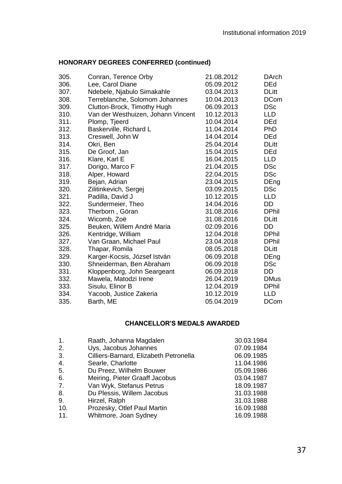| 305. | Conran, Terence Orby               | 21.08.2012 | <b>DArch</b> |
|------|------------------------------------|------------|--------------|
| 306. | Lee, Carol Diane                   | 05.09.2012 | <b>DEd</b>   |
| 307. | Ndebele, Njabulo Simakahle         | 03.04.2013 | <b>DLitt</b> |
| 308. | Terreblanche, Solomom Johannes     | 10.04.2013 | <b>DCom</b>  |
| 309. | Clutton-Brock, Timothy Hugh        | 06.09.2013 | <b>DSc</b>   |
| 310. | Van der Westhuizen, Johann Vincent | 10.12.2013 | <b>LLD</b>   |
| 311. | Plomp, Tjeerd                      | 10.04.2014 | <b>DEd</b>   |
| 312. | Baskerville, Richard L             | 11.04.2014 | <b>PhD</b>   |
| 313. | Creswell, John W                   | 14.04.2014 | <b>DEd</b>   |
| 314. | Okri, Ben                          | 25.04.2014 | <b>DLitt</b> |
| 315. | De Groof, Jan                      | 15.04.2015 | DEd          |
| 316. | Klare, Karl E                      | 16.04.2015 | LLD          |
| 317. | Dorigo, Marco F                    | 21.04.2015 | <b>DSc</b>   |
| 318. | Alper, Howard                      | 22.04.2015 | <b>DSc</b>   |
| 319. | Bejan, Adrian                      | 23.04.2015 | DEng         |
| 320. | Zilitinkevich, Sergej              | 03.09.2015 | <b>DSc</b>   |
| 321. | Padilla, David J                   | 10.12.2015 | <b>LLD</b>   |
| 322. | Sundermeier, Theo                  | 14.04.2016 | DD           |
| 323. | Therborn, Göran                    | 31.08.2016 | <b>DPhil</b> |
| 324. | Wicomb, Zoë                        | 31.08.2016 | <b>DLitt</b> |
| 325. | Beuken, Willem André Maria         | 02.09.2016 | DD           |
| 326. | Kentridge, William                 | 12.04.2018 | <b>DPhil</b> |
| 327. | Van Graan, Michael Paul            | 23.04.2018 | <b>DPhil</b> |
| 328. | Thapar, Romila                     | 08.05.2018 | <b>DLitt</b> |
| 329. | Karger-Kocsis, József István       | 06.09.2018 | DEng         |
| 330. | Shneiderman, Ben Abraham           | 06.09.2018 | <b>DSc</b>   |
| 331. | Kloppenborg, John Seargeant        | 06.09.2018 | DD           |
| 332. | Mawela, Matodzi Irene              | 26.04.2019 | <b>DMus</b>  |
| 333. | Sisulu, Elinor B                   | 12.04.2019 | <b>DPhil</b> |
| 334. | Yacoob, Justice Zakeria            | 10.12.2019 | LLD          |
| 335. | Barth, ME                          | 05.04.2019 | <b>DCom</b>  |

# **CHANCELLOR'S MEDALS AWARDED**

<span id="page-36-0"></span>

| Raath, Johanna Magdalen        | 30.03.1984                             |
|--------------------------------|----------------------------------------|
| Uys, Jacobus Johannes          | 07.09.1984                             |
|                                | 06.09.1985                             |
| Searle, Charlotte              | 11.04.1986                             |
| Du Preez, Wilhelm Bouwer       | 05.09.1986                             |
| Meiring, Pieter Graaff Jacobus | 03.04.1987                             |
| Van Wyk, Stefanus Petrus       | 18.09.1987                             |
| Du Plessis, Willem Jacobus     | 31.03.1988                             |
| Hirzel, Ralph                  | 31.03.1988                             |
| Prozesky, Otlef Paul Martin    | 16.09.1988                             |
| Whitmore, Joan Sydney          | 16.09.1988                             |
|                                | Cilliers-Barnard, Elizabeth Petronella |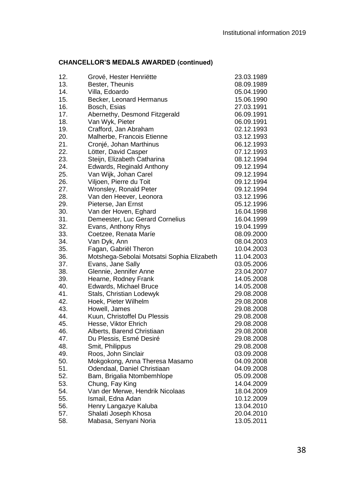# **CHANCELLOR'S MEDALS AWARDED (continued)**

| 12. | Grové, Hester Henriëtte                    | 23.03.1989 |
|-----|--------------------------------------------|------------|
| 13. | Bester, Theunis                            | 08.09.1989 |
| 14. | Villa, Edoardo                             | 05.04.1990 |
| 15. | Becker, Leonard Hermanus                   | 15.06.1990 |
| 16. | Bosch, Esias                               | 27.03.1991 |
| 17. | Abernethy, Desmond Fitzgerald              | 06.09.1991 |
| 18. | Van Wyk, Pieter                            | 06.09.1991 |
| 19. | Crafford, Jan Abraham                      | 02.12.1993 |
| 20. | Malherbe, Francois Etienne                 | 03.12.1993 |
| 21. | Cronjé, Johan Marthinus                    | 06.12.1993 |
| 22. | Lötter, David Casper                       | 07.12.1993 |
| 23. | Steijn, Elizabeth Catharina                | 08.12.1994 |
| 24. | Edwards, Reginald Anthony                  | 09.12.1994 |
| 25. | Van Wijk, Johan Carel                      | 09.12.1994 |
| 26. | Viljoen, Pierre du Toit                    | 09.12.1994 |
| 27. | Wronsley, Ronald Peter                     | 09.12.1994 |
| 28. | Van den Heever, Leonora                    | 03.12.1996 |
| 29. | Pieterse, Jan Ernst                        | 05.12.1996 |
| 30. | Van der Hoven, Eghard                      | 16.04.1998 |
| 31. | Demeester, Luc Gerard Cornelius            | 16.04.1999 |
| 32. | Evans, Anthony Rhys                        | 19.04.1999 |
| 33. | Coetzee, Renata Maríe                      | 08.09.2000 |
| 34. | Van Dyk, Ann                               | 08.04.2003 |
| 35. | Fagan, Gabriël Theron                      | 10.04.2003 |
| 36. | Motshega-Sebolai Motsatsi Sophia Elizabeth | 11.04.2003 |
| 37. | Evans, Jane Sally                          | 03.05.2006 |
| 38. | Glennie, Jennifer Anne                     | 23.04.2007 |
| 39. | Hearne, Rodney Frank                       | 14.05.2008 |
| 40. | Edwards, Michael Bruce                     | 14.05.2008 |
| 41. | Stals, Christian Lodewyk                   | 29.08.2008 |
| 42. | Hoek, Pieter Wilhelm                       | 29.08.2008 |
| 43. | Howell, James                              | 29.08.2008 |
| 44. | Kuun, Christoffel Du Plessis               | 29.08.2008 |
| 45. | Hesse, Viktor Ehrich                       | 29.08.2008 |
| 46. | Alberts, Barend Christiaan                 | 29.08.2008 |
| 47. | Du Plessis, Esmé Desiré                    | 29.08.2008 |
| 48. | Smit, Philippus                            | 29.08.2008 |
| 49. | Roos, John Sinclair                        | 03.09.2008 |
| 50. | Mokgokong, Anna Theresa Masamo             | 04.09.2008 |
| 51. | Odendaal, Daniel Christiaan                | 04.09.2008 |
| 52. | Bam, Brigalia Ntombemhlope                 | 05.09.2008 |
| 53. | Chung, Fay King                            | 14.04.2009 |
| 54. | Van der Merwe, Hendrik Nicolaas            | 18.04.2009 |
| 55. | Ismail, Edna Adan                          | 10.12.2009 |
| 56. | Henry Langazye Kaluba                      | 13.04.2010 |
| 57. | Shalati Joseph Khosa                       | 20.04.2010 |
| 58. | Mabasa, Senyani Noria                      | 13.05.2011 |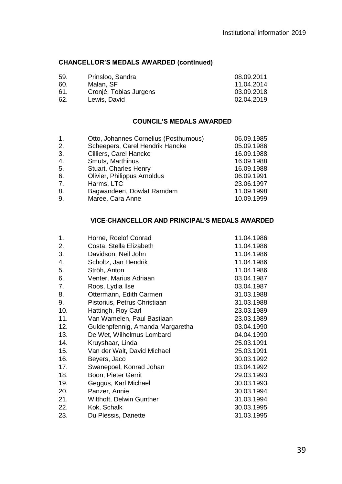## **CHANCELLOR'S MEDALS AWARDED (continued)**

| 59. | Prinsloo, Sandra       | 08.09.2011 |
|-----|------------------------|------------|
| 60. | Malan, SF              | 11.04.2014 |
| 61. | Cronjé, Tobias Jurgens | 03.09.2018 |
| 62. | Lewis, David           | 02.04.2019 |

## **COUNCIL'S MEDALS AWARDED**

<span id="page-38-0"></span>

| 1. | Otto, Johannes Cornelius (Posthumous) | 06.09.1985 |
|----|---------------------------------------|------------|
| 2. | Scheepers, Carel Hendrik Hancke       | 05.09.1986 |
| 3. | Cilliers, Carel Hancke                | 16.09.1988 |
| 4. | Smuts, Marthinus                      | 16.09.1988 |
| 5. | Stuart, Charles Henry                 | 16.09.1988 |
| 6. | Olivier, Philippus Arnoldus           | 06.09.1991 |
| 7. | Harms, LTC                            | 23.06.1997 |
| 8. | Bagwandeen, Dowlat Ramdam             | 11.09.1998 |
| 9. | Maree, Cara Anne                      | 10.09.1999 |

## **VICE-CHANCELLOR AND PRINCIPAL'S MEDALS AWARDED**

<span id="page-38-1"></span>

| Horne, Roelof Conrad             | 11.04.1986 |
|----------------------------------|------------|
| Costa, Stella Elizabeth          | 11.04.1986 |
| Davidson, Neil John              | 11.04.1986 |
| Scholtz, Jan Hendrik             | 11.04.1986 |
| Ströh, Anton                     | 11.04.1986 |
| Venter, Marius Adriaan           | 03.04.1987 |
| Roos, Lydia Ilse                 | 03.04.1987 |
| Ottermann, Edith Carmen          | 31.03.1988 |
| Pistorius, Petrus Christiaan     | 31.03.1988 |
| Hattingh, Roy Carl               | 23.03.1989 |
| Van Wamelen, Paul Bastiaan       | 23.03.1989 |
| Guldenpfennig, Amanda Margaretha | 03.04.1990 |
| De Wet, Wilhelmus Lombard        | 04.04.1990 |
| Kruyshaar, Linda                 | 25.03.1991 |
| Van der Walt, David Michael      | 25.03.1991 |
| Beyers, Jaco                     | 30.03.1992 |
| Swanepoel, Konrad Johan          | 03.04.1992 |
| Boon, Pieter Gerrit              | 29.03.1993 |
| Geggus, Karl Michael             | 30.03.1993 |
| Panzer, Annie                    | 30.03.1994 |
| Witthoft, Delwin Gunther         | 31.03.1994 |
| Kok, Schalk                      | 30.03.1995 |
| Du Plessis, Danette              | 31.03.1995 |
|                                  |            |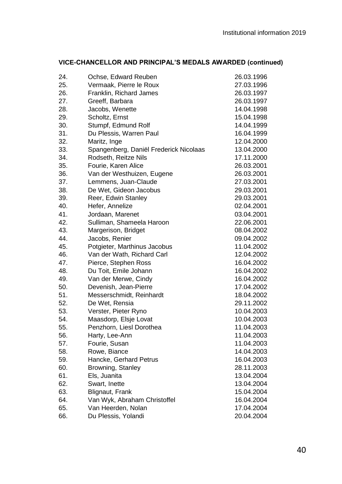| VICE-CHANCELLOR AND PRINCIPAL'S MEDALS AWARDED (continued) |  |
|------------------------------------------------------------|--|
|------------------------------------------------------------|--|

| 24. | Ochse, Edward Reuben                   | 26.03.1996 |
|-----|----------------------------------------|------------|
| 25. | Vermaak, Pierre le Roux                | 27.03.1996 |
| 26. | Franklin, Richard James                | 26.03.1997 |
| 27. | Greeff, Barbara                        | 26.03.1997 |
| 28. | Jacobs, Wenette                        | 14.04.1998 |
| 29. | Scholtz, Ernst                         | 15.04.1998 |
| 30. | Stumpf, Edmund Rolf                    | 14.04.1999 |
| 31. | Du Plessis, Warren Paul                | 16.04.1999 |
| 32. | Maritz, Inge                           | 12.04.2000 |
| 33. | Spangenberg, Daniël Frederick Nicolaas | 13.04.2000 |
| 34. | Rodseth, Reitze Nils                   | 17.11.2000 |
| 35. | Fourie, Karen Alice                    | 26.03.2001 |
| 36. | Van der Westhuizen, Eugene             | 26.03.2001 |
| 37. | Lemmens, Juan-Claude                   | 27.03.2001 |
| 38. | De Wet, Gideon Jacobus                 | 29.03.2001 |
| 39. | Reer, Edwin Stanley                    | 29.03.2001 |
| 40. | Hefer, Annelize                        | 02.04.2001 |
| 41. | Jordaan, Marenet                       | 03.04.2001 |
| 42. | Sulliman, Shameela Haroon              | 22.06.2001 |
| 43. | Margerison, Bridget                    | 08.04.2002 |
| 44. | Jacobs, Renier                         | 09.04.2002 |
| 45. | Potgieter, Marthinus Jacobus           | 11.04.2002 |
| 46. | Van der Wath, Richard Carl             | 12.04.2002 |
| 47. | Pierce, Stephen Ross                   | 16.04.2002 |
| 48. | Du Toit, Emile Johann                  | 16.04.2002 |
| 49. | Van der Merwe, Cindy                   | 16.04.2002 |
| 50. | Devenish, Jean-Pierre                  | 17.04.2002 |
| 51. | Messerschmidt, Reinhardt               | 18.04.2002 |
| 52. | De Wet, Rensia                         | 29.11.2002 |
| 53. | Verster, Pieter Ryno                   | 10.04.2003 |
| 54. | Maasdorp, Elsje Lovat                  | 10.04.2003 |
| 55. | Penzhorn, Liesl Dorothea               | 11.04.2003 |
| 56. | Harty, Lee-Ann                         | 11.04.2003 |
| 57. | Fourie, Susan                          | 11.04.2003 |
| 58. | Rowe, Biance                           | 14.04.2003 |
| 59. | Hancke, Gerhard Petrus                 | 16.04.2003 |
| 60. | Browning, Stanley                      | 28.11.2003 |
| 61. | Els, Juanita                           | 13.04.2004 |
| 62. | Swart, Inette                          | 13.04.2004 |
| 63. | Blignaut, Frank                        | 15.04.2004 |
| 64. | Van Wyk, Abraham Christoffel           | 16.04.2004 |
| 65. | Van Heerden, Nolan                     | 17.04.2004 |
| 66. | Du Plessis, Yolandi                    | 20.04.2004 |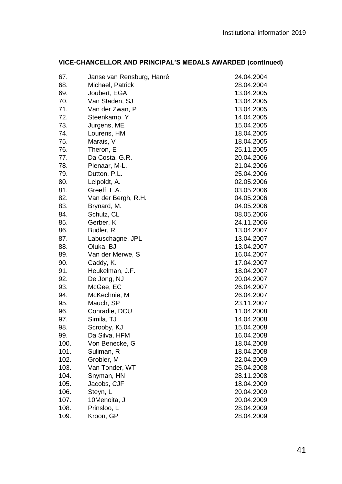|  | VICE-CHANCELLOR AND PRINCIPAL'S MEDALS AWARDED (continued) |  |
|--|------------------------------------------------------------|--|
|--|------------------------------------------------------------|--|

| 67.  | Janse van Rensburg, Hanré | 24.04.2004 |
|------|---------------------------|------------|
| 68.  | Michael, Patrick          | 28.04.2004 |
| 69.  | Joubert, EGA              | 13.04.2005 |
| 70.  | Van Staden, SJ            | 13.04.2005 |
| 71.  | Van der Zwan, P           | 13.04.2005 |
| 72.  | Steenkamp, Y              | 14.04.2005 |
| 73.  | Jurgens, ME               | 15.04.2005 |
| 74.  | Lourens, HM               | 18.04.2005 |
| 75.  | Marais, V                 | 18.04.2005 |
| 76.  | Theron, E                 | 25.11.2005 |
| 77.  | Da Costa, G.R.            | 20.04.2006 |
| 78.  | Pienaar, M-L.             | 21.04.2006 |
| 79.  | Dutton, P.L.              | 25.04.2006 |
| 80.  | Leipoldt, A.              | 02.05.2006 |
| 81.  | Greeff, L.A.              | 03.05.2006 |
| 82.  | Van der Bergh, R.H.       | 04.05.2006 |
| 83.  | Brynard, M.               | 04.05.2006 |
| 84.  | Schulz, CL                | 08.05.2006 |
| 85.  | Gerber, K                 | 24.11.2006 |
| 86.  | Budler, R                 | 13.04.2007 |
| 87.  | Labuschagne, JPL          | 13.04.2007 |
| 88.  | Oluka, BJ                 | 13.04.2007 |
| 89.  | Van der Merwe, S          | 16.04.2007 |
| 90.  | Caddy, K.                 | 17.04.2007 |
| 91.  | Heukelman, J.F.           | 18.04.2007 |
| 92.  | De Jong, NJ               | 20.04.2007 |
| 93.  | McGee, EC                 | 26.04.2007 |
| 94.  | McKechnie, M              | 26.04.2007 |
| 95.  | Mauch, SP                 | 23.11.2007 |
| 96.  | Conradie, DCU             | 11.04.2008 |
| 97.  | Simila, TJ                | 14.04.2008 |
| 98.  | Scrooby, KJ               | 15.04.2008 |
| 99.  | Da Silva, HFM             | 16.04.2008 |
| 100. | Von Benecke, G            | 18.04.2008 |
| 101. | Suliman, R                | 18.04.2008 |
| 102. | Grobler, M                | 22.04.2009 |
| 103. | Van Tonder, WT            | 25.04.2008 |
| 104. | Snyman, HN                | 28.11.2008 |
| 105. | Jacobs, CJF               | 18.04.2009 |
| 106. | Steyn, L                  | 20.04.2009 |
| 107. | 10Menoita, J              | 20.04.2009 |
| 108. | Prinsloo, L               | 28.04.2009 |
| 109. | Kroon, GP                 | 28.04.2009 |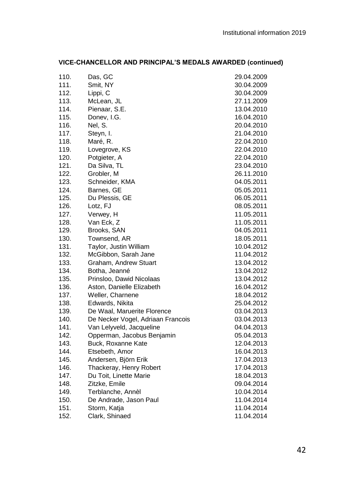| 110. | Das, GC                           | 29.04.2009 |
|------|-----------------------------------|------------|
| 111. | Smit, NY                          | 30.04.2009 |
| 112. | Lippi, C                          | 30.04.2009 |
| 113. | McLean, JL                        | 27.11.2009 |
| 114. | Pienaar, S.E.                     | 13.04.2010 |
| 115. | Donev, I.G.                       | 16.04.2010 |
| 116. | Nel, S.                           | 20.04.2010 |
| 117. | Steyn, I.                         | 21.04.2010 |
| 118. | Maré, R.                          | 22.04.2010 |
| 119. | Lovegrove, KS                     | 22.04.2010 |
| 120. | Potgieter, A                      | 22.04.2010 |
| 121. | Da Silva, TL                      | 23.04.2010 |
| 122. | Grobler, M                        | 26.11.2010 |
| 123. | Schneider, KMA                    | 04.05.2011 |
| 124. | Barnes, GE                        | 05.05.2011 |
| 125. | Du Plessis, GE                    | 06.05.2011 |
| 126. | Lotz, FJ                          | 08.05.2011 |
| 127. | Verwey, H                         | 11.05.2011 |
| 128. | Van Eck, Z                        | 11.05.2011 |
| 129. | Brooks, SAN                       | 04.05.2011 |
| 130. | Townsend, AR                      | 18.05.2011 |
| 131. | Taylor, Justin William            | 10.04.2012 |
| 132. | McGibbon, Sarah Jane              | 11.04.2012 |
| 133. | Graham, Andrew Stuart             | 13.04.2012 |
| 134. | Botha, Jeanné                     | 13.04.2012 |
| 135. | Prinsloo, Dawid Nicolaas          | 13.04.2012 |
| 136. | Aston, Danielle Elizabeth         | 16.04.2012 |
| 137. | Weller, Charnene                  | 18.04.2012 |
| 138. | Edwards, Nikita                   | 25.04.2012 |
| 139. | De Waal, Maruerite Florence       | 03.04.2013 |
| 140. | De Necker Vogel, Adriaan Francois | 03.04.2013 |
| 141. | Van Lelyveld, Jacqueline          | 04.04.2013 |
| 142. | Opperman, Jacobus Benjamin        | 05.04.2013 |
| 143. | Buck, Roxanne Kate                | 12.04.2013 |
| 144. | Etsebeth, Amor                    | 16.04.2013 |
| 145. | Andersen, Björn Erik              | 17.04.2013 |
| 146. | Thackeray, Henry Robert           | 17.04.2013 |
| 147. | Du Toit, Linette Marie            | 18.04.2013 |
| 148. | Zitzke, Emile                     | 09.04.2014 |
| 149. | Terblanche, Annèl                 | 10.04.2014 |
| 150. | De Andrade, Jason Paul            | 11.04.2014 |
| 151. | Storm, Katja                      | 11.04.2014 |
| 152. | Clark, Shinaed                    | 11.04.2014 |

# **VICE-CHANCELLOR AND PRINCIPAL'S MEDALS AWARDED (continued)**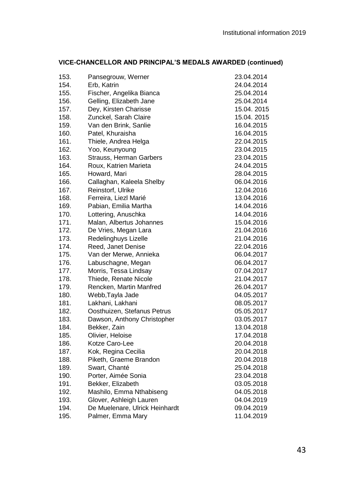| VICE-CHANCELLOR AND PRINCIPAL'S MEDALS AWARDED (continued) |  |
|------------------------------------------------------------|--|
|                                                            |  |

| 153. | Pansegrouw, Werner             | 23.04.2014 |
|------|--------------------------------|------------|
| 154. | Erb, Katrin                    | 24.04.2014 |
| 155. | Fischer, Angelika Bianca       | 25.04.2014 |
| 156. | Gelling, Elizabeth Jane        | 25.04.2014 |
| 157. | Dey, Kirsten Charisse          | 15.04.2015 |
| 158. | Zunckel, Sarah Claire          | 15.04.2015 |
| 159. | Van den Brink, Sanlie          | 16.04.2015 |
| 160. | Patel, Khuraisha               | 16.04.2015 |
| 161. | Thiele, Andrea Helga           | 22.04.2015 |
| 162. | Yoo, Keunyoung                 | 23.04.2015 |
| 163. | Strauss, Herman Garbers        | 23.04.2015 |
| 164. | Roux, Katrien Marieta          | 24.04.2015 |
| 165. | Howard, Mari                   | 28.04.2015 |
| 166. | Callaghan, Kaleela Shelby      | 06.04.2016 |
| 167. | Reinstorf, Ulrike              | 12.04.2016 |
| 168. | Ferreira, Liezl Marié          | 13.04.2016 |
| 169. | Pabian, Emilia Martha          | 14.04.2016 |
| 170. | Lottering, Anuschka            | 14.04.2016 |
| 171. | Malan, Albertus Johannes       | 15.04.2016 |
| 172. | De Vries, Megan Lara           | 21.04.2016 |
| 173. | Redelinghuys Lizelle           | 21.04.2016 |
| 174. | Reed, Janet Denise             | 22.04.2016 |
| 175. | Van der Merwe, Annieka         | 06.04.2017 |
| 176. | Labuschagne, Megan             | 06.04.2017 |
| 177. | Morris, Tessa Lindsay          | 07.04.2017 |
| 178. | Thiede, Renate Nicole          | 21.04.2017 |
| 179. | Rencken, Martin Manfred        | 26.04.2017 |
| 180. | Webb, Tayla Jade               | 04.05.2017 |
| 181. | Lakhani, Lakhani               | 08.05.2017 |
| 182. | Oosthuizen, Stefanus Petrus    | 05.05.2017 |
| 183. | Dawson, Anthony Christopher    | 03.05.2017 |
| 184. | Bekker, Zain                   | 13.04.2018 |
| 185. | Olivier, Heloise               | 17.04.2018 |
| 186. | Kotze Caro-Lee                 | 20.04.2018 |
| 187. | Kok, Regina Cecilia            | 20.04.2018 |
| 188. | Piketh, Graeme Brandon         | 20.04.2018 |
| 189. | Swart, Chanté                  | 25.04.2018 |
| 190. | Porter, Aimée Sonia            | 23.04.2018 |
| 191. | Bekker, Elizabeth              | 03.05.2018 |
| 192. | Mashilo, Emma Nthabiseng       | 04.05.2018 |
| 193. | Glover, Ashleigh Lauren        | 04.04.2019 |
| 194. | De Muelenare, Ulrick Heinhardt | 09.04.2019 |
| 195. | Palmer, Emma Mary              | 11.04.2019 |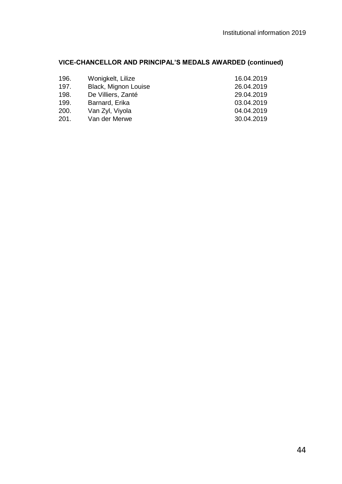# **VICE-CHANCELLOR AND PRINCIPAL'S MEDALS AWARDED (continued)**

| 196. | Wonigkelt, Lilize    | 16.04.2019 |
|------|----------------------|------------|
| 197. | Black, Mignon Louise | 26.04.2019 |
| 198. | De Villiers, Zanté   | 29.04.2019 |
| 199. | Barnard, Erika       | 03.04.2019 |
| 200. | Van Zyl, Viyola      | 04.04.2019 |
| 201. | Van der Merwe        | 30.04.2019 |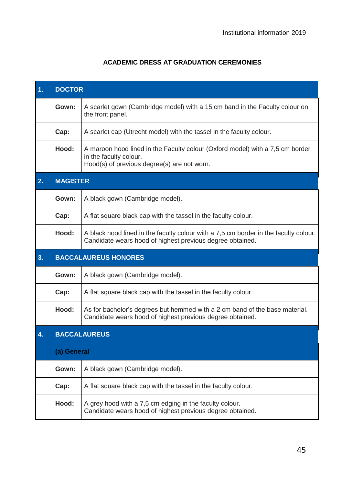# **ACADEMIC DRESS AT GRADUATION CEREMONIES**

<span id="page-44-0"></span>

| 1 <sub>1</sub> | <b>DOCTOR</b>               |                                                                                                                                                        |  |
|----------------|-----------------------------|--------------------------------------------------------------------------------------------------------------------------------------------------------|--|
|                | Gown:                       | A scarlet gown (Cambridge model) with a 15 cm band in the Faculty colour on<br>the front panel.                                                        |  |
|                | Cap:                        | A scarlet cap (Utrecht model) with the tassel in the faculty colour.                                                                                   |  |
|                | Hood:                       | A maroon hood lined in the Faculty colour (Oxford model) with a 7,5 cm border<br>in the faculty colour.<br>Hood(s) of previous degree(s) are not worn. |  |
| 2.             | <b>MAGISTER</b>             |                                                                                                                                                        |  |
|                | Gown:                       | A black gown (Cambridge model).                                                                                                                        |  |
|                | Cap:                        | A flat square black cap with the tassel in the faculty colour.                                                                                         |  |
|                | Hood:                       | A black hood lined in the faculty colour with a 7,5 cm border in the faculty colour.<br>Candidate wears hood of highest previous degree obtained.      |  |
| 3.             | <b>BACCALAUREUS HONORES</b> |                                                                                                                                                        |  |
|                | Gown:                       | A black gown (Cambridge model).                                                                                                                        |  |
|                | Cap:                        | A flat square black cap with the tassel in the faculty colour.                                                                                         |  |
|                | Hood:                       | As for bachelor's degrees but hemmed with a 2 cm band of the base material.<br>Candidate wears hood of highest previous degree obtained.               |  |
| 4.             | <b>BACCALAUREUS</b>         |                                                                                                                                                        |  |
|                | (a) General                 |                                                                                                                                                        |  |
|                | Gown:                       | A black gown (Cambridge model).                                                                                                                        |  |
|                | Cap:                        | A flat square black cap with the tassel in the faculty colour.                                                                                         |  |
|                | Hood:                       | A grey hood with a 7,5 cm edging in the faculty colour.<br>Candidate wears hood of highest previous degree obtained.                                   |  |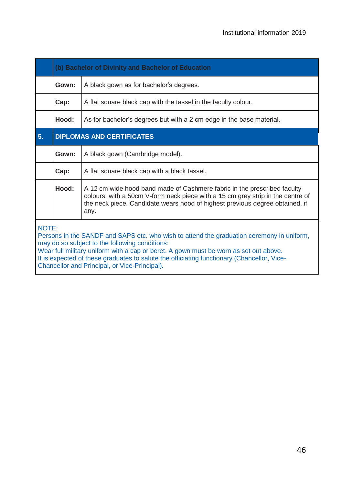|                                                                                                                                                                                                                                                                                                                                             | (b) Bachelor of Divinity and Bachelor of Education                     |                                                                                                                                                                                                                                                     |  |  |
|---------------------------------------------------------------------------------------------------------------------------------------------------------------------------------------------------------------------------------------------------------------------------------------------------------------------------------------------|------------------------------------------------------------------------|-----------------------------------------------------------------------------------------------------------------------------------------------------------------------------------------------------------------------------------------------------|--|--|
|                                                                                                                                                                                                                                                                                                                                             | Gown:<br>A black gown as for bachelor's degrees.                       |                                                                                                                                                                                                                                                     |  |  |
|                                                                                                                                                                                                                                                                                                                                             | Cap:<br>A flat square black cap with the tassel in the faculty colour. |                                                                                                                                                                                                                                                     |  |  |
|                                                                                                                                                                                                                                                                                                                                             | Hood:                                                                  | As for bachelor's degrees but with a 2 cm edge in the base material.                                                                                                                                                                                |  |  |
| 5.                                                                                                                                                                                                                                                                                                                                          | <b>DIPLOMAS AND CERTIFICATES</b>                                       |                                                                                                                                                                                                                                                     |  |  |
|                                                                                                                                                                                                                                                                                                                                             | Gown:                                                                  | A black gown (Cambridge model).                                                                                                                                                                                                                     |  |  |
|                                                                                                                                                                                                                                                                                                                                             | Cap:                                                                   | A flat square black cap with a black tassel.                                                                                                                                                                                                        |  |  |
|                                                                                                                                                                                                                                                                                                                                             | Hood:                                                                  | A 12 cm wide hood band made of Cashmere fabric in the prescribed faculty<br>colours, with a 50cm V-form neck piece with a 15 cm grey strip in the centre of<br>the neck piece. Candidate wears hood of highest previous degree obtained, if<br>any. |  |  |
| NOTE:<br>Persons in the SANDF and SAPS etc. who wish to attend the graduation ceremony in uniform,<br>may do so subject to the following conditions:<br>Wear full military uniform with a cap or beret. A gown must be worn as set out above.<br>It is expected of these graduates to salute the officiating functionary (Chancellor, Vice- |                                                                        |                                                                                                                                                                                                                                                     |  |  |

<span id="page-45-0"></span>Chancellor and Principal, or Vice-Principal).